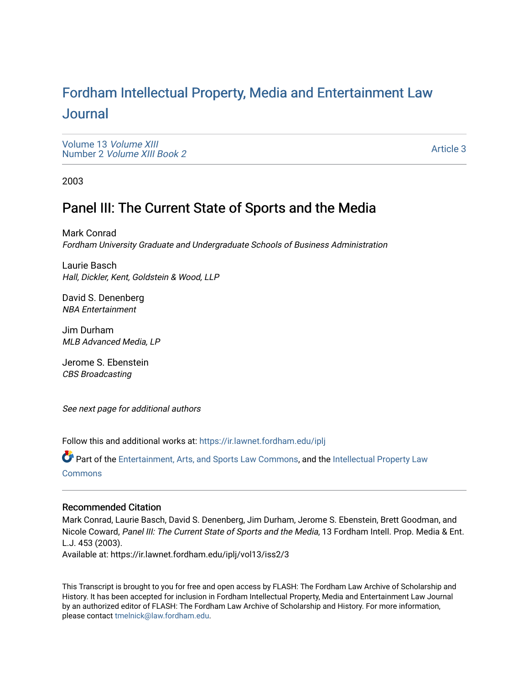# For[dham Intellectual Property, Media and Enter](https://ir.lawnet.fordham.edu/iplj)tainment Law [Journal](https://ir.lawnet.fordham.edu/iplj)

[Volume 13](https://ir.lawnet.fordham.edu/iplj/vol13) Volume XIII Number 2 [Volume XIII Book 2](https://ir.lawnet.fordham.edu/iplj/vol13/iss2)

[Article 3](https://ir.lawnet.fordham.edu/iplj/vol13/iss2/3) 

2003

## Panel III: The Current State of Sports and the Media

Mark Conrad Fordham University Graduate and Undergraduate Schools of Business Administration

Laurie Basch Hall, Dickler, Kent, Goldstein & Wood, LLP

David S. Denenberg NBA Entertainment

Jim Durham MLB Advanced Media, LP

Jerome S. Ebenstein CBS Broadcasting

See next page for additional authors

Follow this and additional works at: [https://ir.lawnet.fordham.edu/iplj](https://ir.lawnet.fordham.edu/iplj?utm_source=ir.lawnet.fordham.edu%2Fiplj%2Fvol13%2Fiss2%2F3&utm_medium=PDF&utm_campaign=PDFCoverPages) 

Part of the [Entertainment, Arts, and Sports Law Commons](http://network.bepress.com/hgg/discipline/893?utm_source=ir.lawnet.fordham.edu%2Fiplj%2Fvol13%2Fiss2%2F3&utm_medium=PDF&utm_campaign=PDFCoverPages), and the [Intellectual Property Law](http://network.bepress.com/hgg/discipline/896?utm_source=ir.lawnet.fordham.edu%2Fiplj%2Fvol13%2Fiss2%2F3&utm_medium=PDF&utm_campaign=PDFCoverPages) [Commons](http://network.bepress.com/hgg/discipline/896?utm_source=ir.lawnet.fordham.edu%2Fiplj%2Fvol13%2Fiss2%2F3&utm_medium=PDF&utm_campaign=PDFCoverPages)

#### Recommended Citation

Mark Conrad, Laurie Basch, David S. Denenberg, Jim Durham, Jerome S. Ebenstein, Brett Goodman, and Nicole Coward, Panel III: The Current State of Sports and the Media, 13 Fordham Intell. Prop. Media & Ent. L.J. 453 (2003).

Available at: https://ir.lawnet.fordham.edu/iplj/vol13/iss2/3

This Transcript is brought to you for free and open access by FLASH: The Fordham Law Archive of Scholarship and History. It has been accepted for inclusion in Fordham Intellectual Property, Media and Entertainment Law Journal by an authorized editor of FLASH: The Fordham Law Archive of Scholarship and History. For more information, please contact [tmelnick@law.fordham.edu](mailto:tmelnick@law.fordham.edu).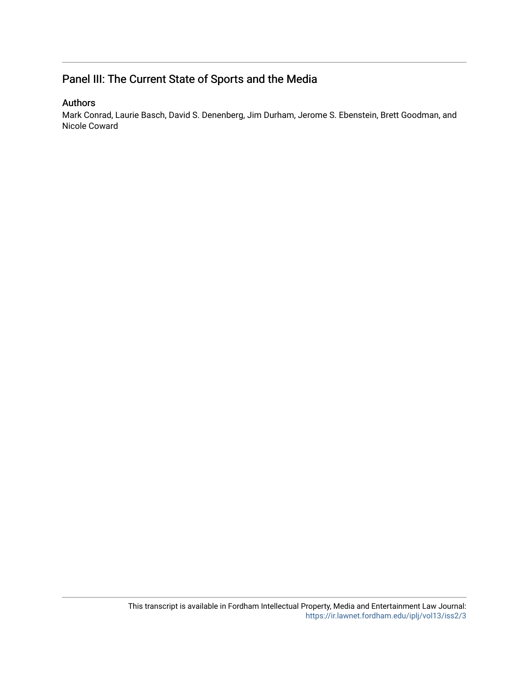## Panel III: The Current State of Sports and the Media

### Authors

Mark Conrad, Laurie Basch, David S. Denenberg, Jim Durham, Jerome S. Ebenstein, Brett Goodman, and Nicole Coward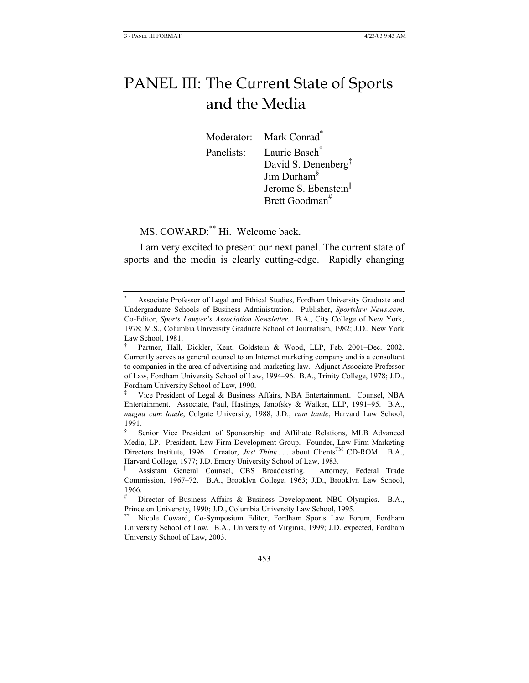# PANEL III: The Current State of Sports and the Media

Moderator: Mark Conrad<sup>\*</sup> Panelists: Laurie Basch† David S. Denenberg‡ Jim Durham§ Jerome S. Ebenstein<sup>||</sup>

Brett Goodman<sup>#</sup>

MS. COWARD:\*\* Hi. Welcome back.

I am very excited to present our next panel. The current state of sports and the media is clearly cutting-edge. Rapidly changing

<sup>\*</sup> Associate Professor of Legal and Ethical Studies, Fordham University Graduate and Undergraduate Schools of Business Administration. Publisher, *Sportslaw News.com*. Co-Editor, *Sports Lawyer's Association Newsletter*. B.A., City College of New York, 1978; M.S., Columbia University Graduate School of Journalism, 1982; J.D., New York Law School, 1981.

<sup>†</sup> Partner, Hall, Dickler, Kent, Goldstein & Wood, LLP, Feb. 2001–Dec. 2002. Currently serves as general counsel to an Internet marketing company and is a consultant to companies in the area of advertising and marketing law. Adjunct Associate Professor of Law, Fordham University School of Law, 1994–96. B.A., Trinity College, 1978; J.D., Fordham University School of Law, 1990.

<sup>‡</sup> Vice President of Legal & Business Affairs, NBA Entertainment. Counsel, NBA Entertainment. Associate, Paul, Hastings, Janofsky & Walker, LLP, 1991–95. B.A., *magna cum laude*, Colgate University, 1988; J.D., *cum laude*, Harvard Law School, 1991.

<sup>§</sup> Senior Vice President of Sponsorship and Affiliate Relations, MLB Advanced Media, LP. President, Law Firm Development Group. Founder, Law Firm Marketing Directors Institute, 1996. Creator, *Just Think* . . . about Clients<sup>TM</sup> CD-ROM. B.A., Harvard College, 1977; J.D. Emory University School of Law, 1983.

<sup>||</sup> Assistant General Counsel, CBS Broadcasting. Attorney, Federal Trade Commission, 1967–72. B.A., Brooklyn College, 1963; J.D., Brooklyn Law School, 1966.

<sup>#</sup> Director of Business Affairs & Business Development, NBC Olympics. B.A., Princeton University, 1990; J.D., Columbia University Law School, 1995.

Nicole Coward, Co-Symposium Editor, Fordham Sports Law Forum, Fordham University School of Law. B.A., University of Virginia, 1999; J.D. expected, Fordham University School of Law, 2003.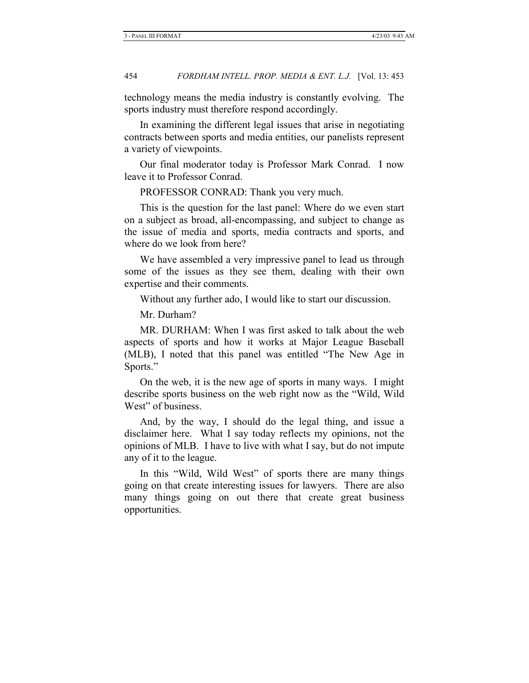technology means the media industry is constantly evolving. The sports industry must therefore respond accordingly.

In examining the different legal issues that arise in negotiating contracts between sports and media entities, our panelists represent a variety of viewpoints.

Our final moderator today is Professor Mark Conrad. I now leave it to Professor Conrad.

PROFESSOR CONRAD: Thank you very much.

This is the question for the last panel: Where do we even start on a subject as broad, all-encompassing, and subject to change as the issue of media and sports, media contracts and sports, and where do we look from here?

We have assembled a very impressive panel to lead us through some of the issues as they see them, dealing with their own expertise and their comments.

Without any further ado, I would like to start our discussion.

Mr. Durham?

MR. DURHAM: When I was first asked to talk about the web aspects of sports and how it works at Major League Baseball (MLB), I noted that this panel was entitled "The New Age in Sports."

On the web, it is the new age of sports in many ways. I might describe sports business on the web right now as the "Wild, Wild West" of business.

And, by the way, I should do the legal thing, and issue a disclaimer here. What I say today reflects my opinions, not the opinions of MLB. I have to live with what I say, but do not impute any of it to the league.

In this "Wild, Wild West" of sports there are many things going on that create interesting issues for lawyers. There are also many things going on out there that create great business opportunities.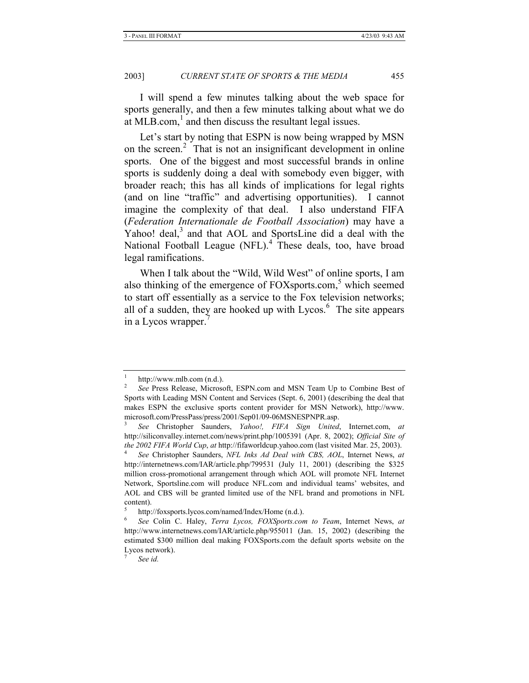I will spend a few minutes talking about the web space for sports generally, and then a few minutes talking about what we do at MLB.com, $<sup>1</sup>$  and then discuss the resultant legal issues.</sup>

Let's start by noting that ESPN is now being wrapped by MSN on the screen.<sup>2</sup> That is not an insignificant development in online sports. One of the biggest and most successful brands in online sports is suddenly doing a deal with somebody even bigger, with broader reach; this has all kinds of implications for legal rights (and on line "traffic" and advertising opportunities). I cannot imagine the complexity of that deal. I also understand FIFA (*Federation Internationale de Football Association*) may have a Yahoo! deal, $3$  and that AOL and SportsLine did a deal with the National Football League (NFL).<sup>4</sup> These deals, too, have broad legal ramifications.

When I talk about the "Wild, Wild West" of online sports, I am also thinking of the emergence of FOXsports.com,<sup>5</sup> which seemed to start off essentially as a service to the Fox television networks; all of a sudden, they are hooked up with Lycos. $<sup>6</sup>$  The site appears</sup> in a Lycos wrapper.<sup>7</sup>

7

http://www.mlb.com (n.d.).

*See* Press Release, Microsoft, ESPN.com and MSN Team Up to Combine Best of Sports with Leading MSN Content and Services (Sept. 6, 2001) (describing the deal that makes ESPN the exclusive sports content provider for MSN Network), http://www. microsoft.com/PressPass/press/2001/Sep01/09-06MSNESPNPR.asp.

<sup>3</sup>  *See* Christopher Saunders, *Yahoo!, FIFA Sign United*, Internet.com, *at*  http://siliconvalley.internet.com/news/print.php/1005391 (Apr. 8, 2002); *Official Site of the 2002 FIFA World Cup, at http://fifaworldcup.yahoo.com (last visited Mar. 25, 2003).* 

*See* Christopher Saunders, *NFL Inks Ad Deal with CBS, AOL*, Internet News, *at*  http://internetnews.com/IAR/article.php/799531 (July 11, 2001) (describing the \$325 million cross-promotional arrangement through which AOL will promote NFL Internet Network, Sportsline.com will produce NFL.com and individual teams' websites, and AOL and CBS will be granted limited use of the NFL brand and promotions in NFL content).

<sup>5</sup> http://foxsports.lycos.com/named/Index/Home (n.d.).

<sup>6</sup>  *See* Colin C. Haley, *Terra Lycos, FOXSports.com to Team*, Internet News, *at*  http://www.internetnews.com/IAR/article.php/955011 (Jan. 15, 2002) (describing the estimated \$300 million deal making FOXSports.com the default sports website on the Lycos network).

*See id.*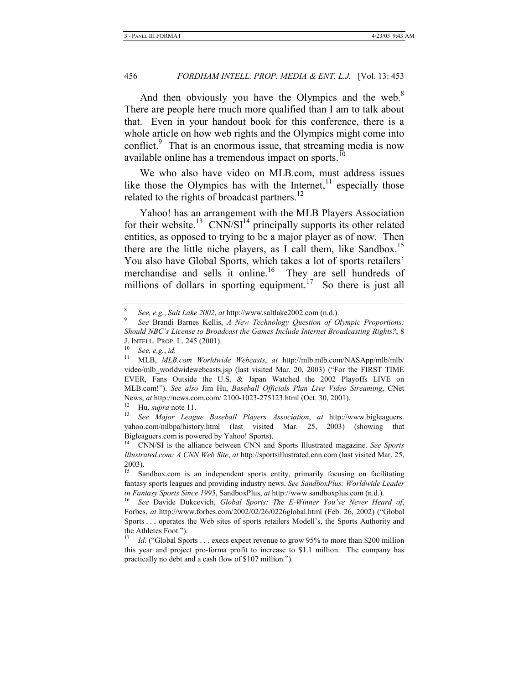And then obviously you have the Olympics and the web. $8$ There are people here much more qualified than I am to talk about that. Even in your handout book for this conference, there is a whole article on how web rights and the Olympics might come into conflict.<sup>9</sup> That is an enormous issue, that streaming media is now available online has a tremendous impact on sports. $10$ 

We who also have video on MLB.com, must address issues like those the Olympics has with the Internet, $^{11}$  especially those related to the rights of broadcast partners.<sup>12</sup>

Yahoo! has an arrangement with the MLB Players Association for their website.<sup>13</sup> CNN/SI<sup>14</sup> principally supports its other related entities, as opposed to trying to be a major player as of now. Then there are the little niche players, as I call them, like Sandbox.<sup>15</sup> You also have Global Sports, which takes a lot of sports retailers' merchandise and sells it online.<sup>16</sup> They are sell hundreds of millions of dollars in sporting equipment.<sup>17</sup> So there is just all

<sup>8</sup>

*See, e.g.*, *Salt Lake 2002*, *at* http://www.saltlake2002.com (n.d.). 9 *See* Brandi Barnes Kellis, *A New Technology Question of Olympic Proportions: Should NBC's License to Broadcast the Games Include Internet Broadcasting Rights?*, 8 J. INTELL. PROP. L. 245 (2001).

<sup>10</sup> *See, e.g.*, *id.*

<sup>11</sup> MLB, *MLB.com Worldwide Webcasts*, *at* http://mlb.mlb.com/NASApp/mlb/mlb/ video/mlb\_worldwidewebcasts.jsp (last visited Mar. 20, 2003) ("For the FIRST TIME EVER, Fans Outside the U.S. & Japan Watched the 2002 Playoffs LIVE on MLB.com!"). *See also* Jim Hu, *Baseball Officials Plan Live Video Streaming*, CNet News, *at* http://news.com.com/ 2100-1023-275123.html (Oct. 30, 2001).<br><sup>12</sup> Hy gung note 11

<sup>12</sup> Hu, *supra* note 11. 13 *See Major League Baseball Players Association*, *at* http://www.bigleaguers. yahoo.com/mlbpa/history.html (last visited Mar. 25, 2003) (showing that Bigleaguers.com is powered by Yahoo! Sports). 14 CNN/SI is the alliance between CNN and Sports Illustrated magazine. *See Sports* 

*Illustrated.com: A CNN Web Site*, *at* http://sportsillustrated.cnn.com (last visited Mar. 25, 2003).

Sandbox.com is an independent sports entity, primarily focusing on facilitating fantasy sports leagues and providing industry news. *See SandboxPlus: Worldwide Leader* 

*in Fantasy Sports Since 1995*, SandboxPlus, *at* http://www.sandboxplus.com (n.d.). 16 *See* Davide Dukcevich, *Global Sports: The E-Winner You've Never Heard of*, Forbes, *at* http://www.forbes.com/2002/02/26/0226global.html (Feb. 26, 2002) ("Global Sports . . . operates the Web sites of sports retailers Modell's, the Sports Authority and the Athletes Foot.").

<sup>&</sup>lt;sup>17</sup> *Id.* ("Global Sports . . . execs expect revenue to grow 95% to more than \$200 million this year and project pro-forma profit to increase to \$1.1 million. The company has practically no debt and a cash flow of \$107 million.").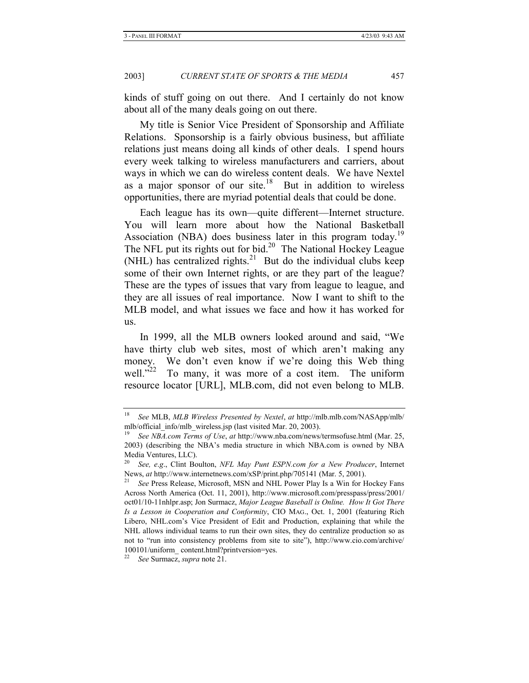kinds of stuff going on out there. And I certainly do not know about all of the many deals going on out there.

My title is Senior Vice President of Sponsorship and Affiliate Relations. Sponsorship is a fairly obvious business, but affiliate relations just means doing all kinds of other deals. I spend hours every week talking to wireless manufacturers and carriers, about ways in which we can do wireless content deals. We have Nextel as a major sponsor of our site. $18$  But in addition to wireless opportunities, there are myriad potential deals that could be done.

Each league has its own—quite different—Internet structure. You will learn more about how the National Basketball Association (NBA) does business later in this program today.<sup>19</sup> The NFL put its rights out for bid.<sup>20</sup> The National Hockey League (NHL) has centralized rights.<sup>21</sup> But do the individual clubs keep some of their own Internet rights, or are they part of the league? These are the types of issues that vary from league to league, and they are all issues of real importance. Now I want to shift to the MLB model, and what issues we face and how it has worked for us.

In 1999, all the MLB owners looked around and said, "We have thirty club web sites, most of which aren't making any money. We don't even know if we're doing this Web thing well."<sup>22</sup> To many, it was more of a cost item. The uniform resource locator [URL], MLB.com, did not even belong to MLB.

<sup>18</sup> *See* MLB, *MLB Wireless Presented by Nextel*, *at* http://mlb.mlb.com/NASApp/mlb/ mlb/official\_info/mlb\_wireless.jsp (last visited Mar. 20, 2003).

<sup>19</sup> *See NBA.com Terms of Use*, *at* http://www.nba.com/news/termsofuse.html (Mar. 25, 2003) (describing the NBA's media structure in which NBA.com is owned by NBA Media Ventures, LLC).

<sup>20</sup> *See, e*.*g*., Clint Boulton, *NFL May Punt ESPN.com for a New Producer*, Internet News, *at* http://www.internetnews.com/xSP/print.php/705141 (Mar. 5, 2001).<br><sup>21</sup> See Press Release, Microsoft, MSN and NHL Power Play Is a Win for Hockey Fans

Across North America (Oct. 11, 2001), http://www.microsoft.com/presspass/press/2001/ oct01/10-11nhlpr.asp; Jon Surmacz, *Major League Baseball is Online. How It Got There Is a Lesson in Cooperation and Conformity*, CIO MAG., Oct. 1, 2001 (featuring Rich Libero, NHL.com's Vice President of Edit and Production, explaining that while the NHL allows individual teams to run their own sites, they do centralize production so as not to "run into consistency problems from site to site"), http://www.cio.com/archive/ 100101/uniform\_ content.html?printversion=yes.

<sup>22</sup> *See* Surmacz, *supra* note 21.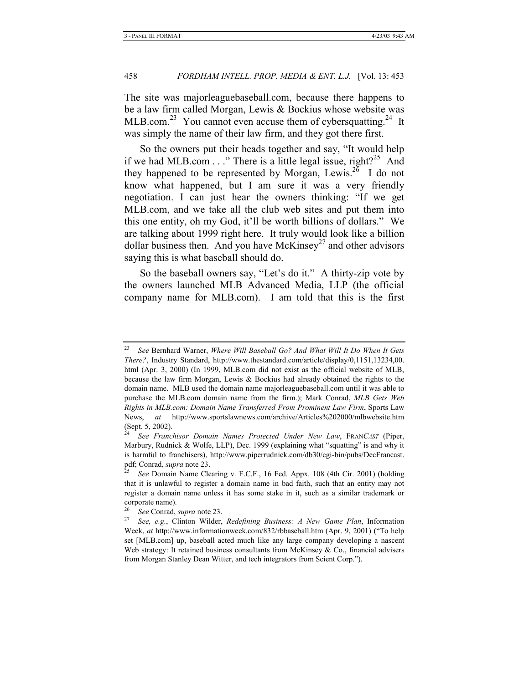The site was majorleaguebaseball.com, because there happens to be a law firm called Morgan, Lewis & Bockius whose website was MLB.com.<sup>23</sup> You cannot even accuse them of cybersquatting.<sup>24</sup> It was simply the name of their law firm, and they got there first.

So the owners put their heads together and say, "It would help if we had MLB.com  $\ldots$ " There is a little legal issue, right?<sup>25</sup> And they happened to be represented by Morgan, Lewis.<sup>26</sup> I do not know what happened, but I am sure it was a very friendly negotiation. I can just hear the owners thinking: "If we get MLB.com, and we take all the club web sites and put them into this one entity, oh my God, it'll be worth billions of dollars." We are talking about 1999 right here. It truly would look like a billion dollar business then. And you have McKinsey<sup>27</sup> and other advisors saying this is what baseball should do.

So the baseball owners say, "Let's do it." A thirty-zip vote by the owners launched MLB Advanced Media, LLP (the official company name for MLB.com). I am told that this is the first

<sup>23</sup> *See* Bernhard Warner, *Where Will Baseball Go? And What Will It Do When It Gets There?*, Industry Standard, http://www.thestandard.com/article/display/0,1151,13234,00. html (Apr. 3, 2000) (In 1999, MLB.com did not exist as the official website of MLB, because the law firm Morgan, Lewis & Bockius had already obtained the rights to the domain name. MLB used the domain name majorleaguebaseball.com until it was able to purchase the MLB.com domain name from the firm.); Mark Conrad, *MLB Gets Web Rights in MLB.com: Domain Name Transferred From Prominent Law Firm*, Sports Law News, *at* http://www.sportslawnews.com/archive/Articles%202000/mlbwebsite.htm (Sept. 5, 2002).

<sup>24</sup> *See Franchisor Domain Names Protected Under New Law*, FRAN*CAST* (Piper, Marbury, Rudnick & Wolfe, LLP), Dec. 1999 (explaining what "squatting" is and why it is harmful to franchisers), http://www.piperrudnick.com/db30/cgi-bin/pubs/DecFrancast.<br>pdf; Conrad, *supra* note 23.

*See Domain Name Clearing v. F.C.F., 16 Fed. Appx. 108 (4th Cir. 2001) (holding* that it is unlawful to register a domain name in bad faith, such that an entity may not register a domain name unless it has some stake in it, such as a similar trademark or corporate name).

<sup>26</sup> *See* Conrad, *supra* note 23. 27 *See, e.g.*, Clinton Wilder, *Redefining Business: A New Game Plan*, Information Week, *at* http://www.informationweek.com/832/rbbaseball.htm (Apr. 9, 2001) ("To help set [MLB.com] up, baseball acted much like any large company developing a nascent Web strategy: It retained business consultants from McKinsey  $\& Co.,$  financial advisers from Morgan Stanley Dean Witter, and tech integrators from Scient Corp.").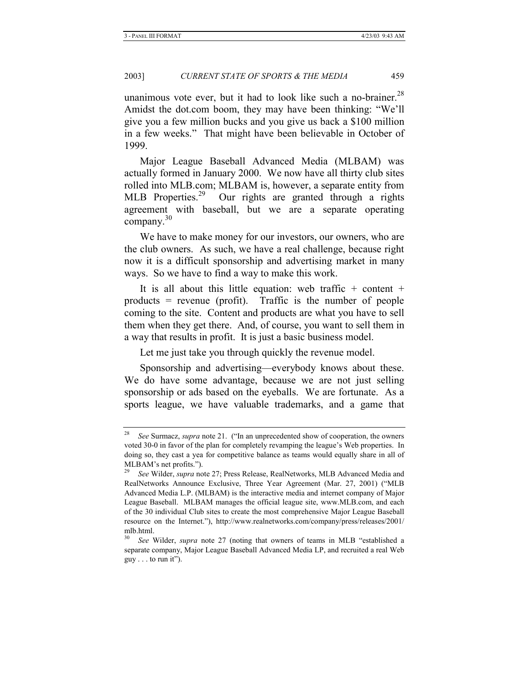unanimous vote ever, but it had to look like such a no-brainer.<sup>28</sup> Amidst the dot.com boom, they may have been thinking: "We'll give you a few million bucks and you give us back a \$100 million in a few weeks." That might have been believable in October of 1999.

Major League Baseball Advanced Media (MLBAM) was actually formed in January 2000. We now have all thirty club sites rolled into MLB.com; MLBAM is, however, a separate entity from MLB Properties.29 Our rights are granted through a rights agreement with baseball, but we are a separate operating company.<sup>30</sup>

We have to make money for our investors, our owners, who are the club owners. As such, we have a real challenge, because right now it is a difficult sponsorship and advertising market in many ways. So we have to find a way to make this work.

It is all about this little equation: web traffic  $+$  content  $+$ products = revenue (profit). Traffic is the number of people coming to the site. Content and products are what you have to sell them when they get there. And, of course, you want to sell them in a way that results in profit. It is just a basic business model.

Let me just take you through quickly the revenue model.

Sponsorship and advertising—everybody knows about these. We do have some advantage, because we are not just selling sponsorship or ads based on the eyeballs. We are fortunate. As a sports league, we have valuable trademarks, and a game that

<sup>28</sup> *See* Surmacz, *supra* note 21. ("In an unprecedented show of cooperation, the owners voted 30-0 in favor of the plan for completely revamping the league's Web properties. In doing so, they cast a yea for competitive balance as teams would equally share in all of MLBAM's net profits.").

<sup>29</sup> *See* Wilder, *supra* note 27; Press Release, RealNetworks, MLB Advanced Media and RealNetworks Announce Exclusive, Three Year Agreement (Mar. 27, 2001) ("MLB Advanced Media L.P. (MLBAM) is the interactive media and internet company of Major League Baseball. MLBAM manages the official league site, www.MLB.com, and each of the 30 individual Club sites to create the most comprehensive Major League Baseball resource on the Internet."), http://www.realnetworks.com/company/press/releases/2001/ mlb.html.

<sup>30</sup> *See* Wilder, *supra* note 27 (noting that owners of teams in MLB "established a separate company, Major League Baseball Advanced Media LP, and recruited a real Web  $guy \dots$  to run it").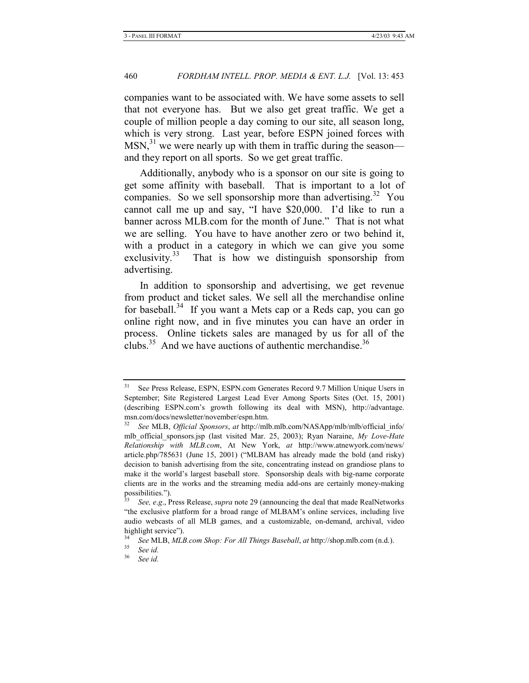companies want to be associated with. We have some assets to sell that not everyone has. But we also get great traffic. We get a couple of million people a day coming to our site, all season long, which is very strong. Last year, before ESPN joined forces with  $MSN<sub>1</sub><sup>31</sup>$  we were nearly up with them in traffic during the season and they report on all sports. So we get great traffic.

Additionally, anybody who is a sponsor on our site is going to get some affinity with baseball. That is important to a lot of companies. So we sell sponsorship more than advertising.<sup>32</sup> You cannot call me up and say, "I have \$20,000. I'd like to run a banner across MLB.com for the month of June." That is not what we are selling. You have to have another zero or two behind it, with a product in a category in which we can give you some exclusivity. $33$  That is how we distinguish sponsorship from advertising.

In addition to sponsorship and advertising, we get revenue from product and ticket sales. We sell all the merchandise online for baseball.<sup>34</sup> If you want a Mets cap or a Reds cap, you can go online right now, and in five minutes you can have an order in process. Online tickets sales are managed by us for all of the clubs.<sup>35</sup> And we have auctions of authentic merchandise.<sup>36</sup>

See Press Release, ESPN, ESPN.com Generates Record 9.7 Million Unique Users in September; Site Registered Largest Lead Ever Among Sports Sites (Oct. 15, 2001) (describing ESPN.com's growth following its deal with MSN), http://advantage. msn.com/docs/newsletter/november/espn.htm.

<sup>32</sup> *See* MLB, *Official Sponsors*, *at* http://mlb.mlb.com/NASApp/mlb/mlb/official\_info/ mlb\_official\_sponsors.jsp (last visited Mar. 25, 2003); Ryan Naraine, *My Love-Hate Relationship with MLB.com*, At New York, *at* http://www.atnewyork.com/news/ article.php/785631 (June 15, 2001) ("MLBAM has already made the bold (and risky) decision to banish advertising from the site, concentrating instead on grandiose plans to make it the world's largest baseball store. Sponsorship deals with big-name corporate clients are in the works and the streaming media add-ons are certainly money-making possibilities.").

<sup>33</sup> *See, e*.*g*., Press Release, *supra* note 29 (announcing the deal that made RealNetworks "the exclusive platform for a broad range of MLBAM's online services, including live audio webcasts of all MLB games, and a customizable, on-demand, archival, video highlight service").

<sup>34</sup> *See* MLB, *MLB.com Shop: For All Things Baseball*, *at* http://shop.mlb.com (n.d.). 35 *See id.*

<sup>36</sup> *See id.*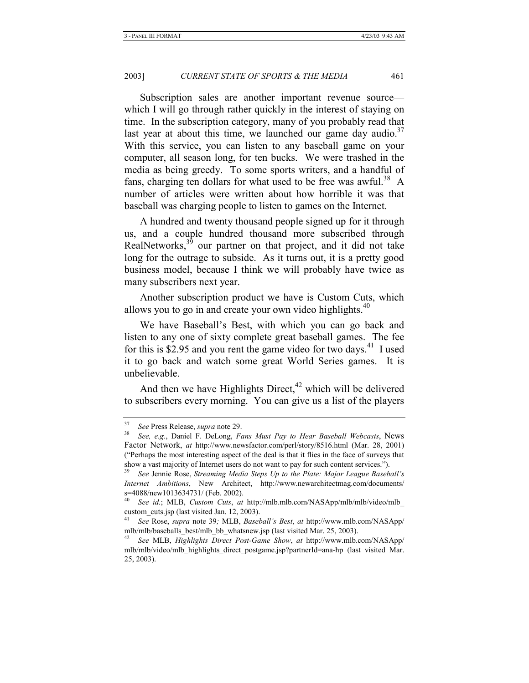Subscription sales are another important revenue source which I will go through rather quickly in the interest of staying on time. In the subscription category, many of you probably read that last year at about this time, we launched our game day audio.<sup>37</sup> With this service, you can listen to any baseball game on your computer, all season long, for ten bucks. We were trashed in the media as being greedy. To some sports writers, and a handful of fans, charging ten dollars for what used to be free was awful.<sup>38</sup> A number of articles were written about how horrible it was that baseball was charging people to listen to games on the Internet.

A hundred and twenty thousand people signed up for it through us, and a couple hundred thousand more subscribed through RealNetworks, $3<sup>3</sup>$  our partner on that project, and it did not take long for the outrage to subside. As it turns out, it is a pretty good business model, because I think we will probably have twice as many subscribers next year.

Another subscription product we have is Custom Cuts, which allows you to go in and create your own video highlights. $40$ 

We have Baseball's Best, with which you can go back and listen to any one of sixty complete great baseball games. The fee for this is \$2.95 and you rent the game video for two days.<sup>41</sup> I used it to go back and watch some great World Series games. It is unbelievable.

And then we have Highlights Direct,<sup> $42$ </sup> which will be delivered to subscribers every morning. You can give us a list of the players

<sup>37</sup> *See* Press Release, *supra* note 29. 38 *See, e*.*g*., Daniel F. DeLong, *Fans Must Pay to Hear Baseball Webcasts*, News Factor Network, *at* http://www.newsfactor.com/perl/story/8516.html (Mar. 28, 2001) ("Perhaps the most interesting aspect of the deal is that it flies in the face of surveys that show a vast majority of Internet users do not want to pay for such content services.").

<sup>39</sup> *See* Jennie Rose, *Streaming Media Steps Up to the Plate: Major League Baseball's Internet Ambitions*, New Architect, http://www.newarchitectmag.com/documents/  $s=4088$ /new1013634731/ (Feb. 2002).

<sup>40</sup> *See id.*; MLB, *Custom Cuts*, *at* http://mlb.mlb.com/NASApp/mlb/mlb/video/mlb\_ custom cuts.jsp (last visited Jan. 12, 2003).

<sup>41</sup> *See* Rose, *supra* note 39*;* MLB, *Baseball's Best*, *at* http://www.mlb.com/NASApp/ mlb/mlb/baseballs\_best/mlb\_bb\_whatsnew.jsp (last visited Mar. 25, 2003).

<sup>42</sup> *See* MLB, *Highlights Direct Post-Game Show*, *at* http://www.mlb.com/NASApp/ mlb/mlb/video/mlb\_highlights\_direct\_postgame.jsp?partnerId=ana-hp (last visited Mar. 25, 2003).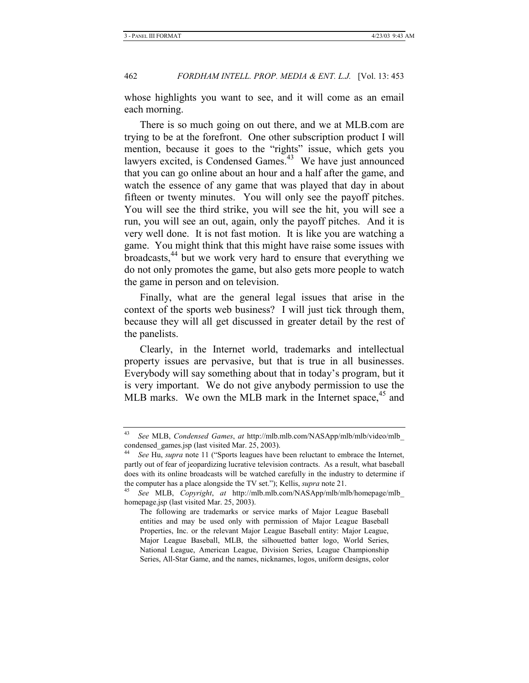whose highlights you want to see, and it will come as an email each morning.

There is so much going on out there, and we at MLB.com are trying to be at the forefront. One other subscription product I will mention, because it goes to the "rights" issue, which gets you lawyers excited, is Condensed Games.<sup>43</sup> We have just announced that you can go online about an hour and a half after the game, and watch the essence of any game that was played that day in about fifteen or twenty minutes. You will only see the payoff pitches. You will see the third strike, you will see the hit, you will see a run, you will see an out, again, only the payoff pitches. And it is very well done. It is not fast motion. It is like you are watching a game. You might think that this might have raise some issues with broadcasts, $44$  but we work very hard to ensure that everything we do not only promotes the game, but also gets more people to watch the game in person and on television.

Finally, what are the general legal issues that arise in the context of the sports web business? I will just tick through them, because they will all get discussed in greater detail by the rest of the panelists.

Clearly, in the Internet world, trademarks and intellectual property issues are pervasive, but that is true in all businesses. Everybody will say something about that in today's program, but it is very important. We do not give anybody permission to use the MLB marks. We own the MLB mark in the Internet space,  $45$  and

<sup>43</sup> *See* MLB, *Condensed Games*, *at* http://mlb.mlb.com/NASApp/mlb/mlb/video/mlb\_ condensed\_games.jsp (last visited Mar. 25, 2003).

<sup>44</sup> *See* Hu, *supra* note 11 ("Sports leagues have been reluctant to embrace the Internet, partly out of fear of jeopardizing lucrative television contracts. As a result, what baseball does with its online broadcasts will be watched carefully in the industry to determine if the computer has a place alongside the TV set."); Kellis, *supra* note 21. 45 *See* MLB, *Copyright*, *at* http://mlb.mlb.com/NASApp/mlb/mlb/homepage/mlb\_

homepage.jsp (last visited Mar. 25, 2003).

The following are trademarks or service marks of Major League Baseball entities and may be used only with permission of Major League Baseball Properties, Inc. or the relevant Major League Baseball entity: Major League, Major League Baseball, MLB, the silhouetted batter logo, World Series, National League, American League, Division Series, League Championship Series, All-Star Game, and the names, nicknames, logos, uniform designs, color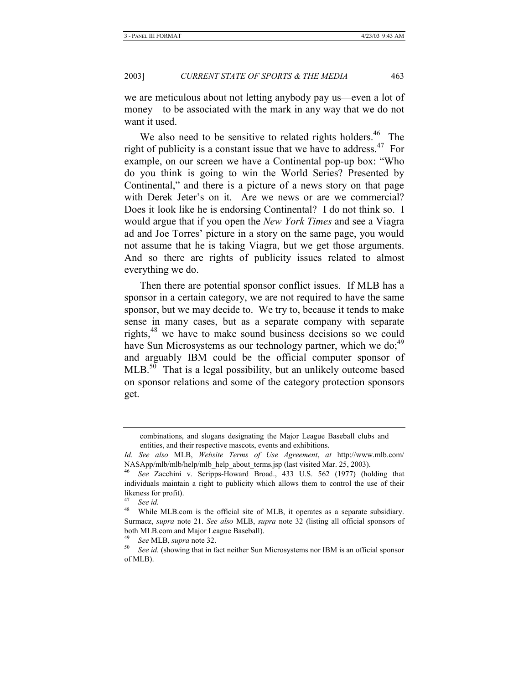we are meticulous about not letting anybody pay us—even a lot of money—to be associated with the mark in any way that we do not want it used.

We also need to be sensitive to related rights holders.<sup>46</sup> The right of publicity is a constant issue that we have to address.<sup>47</sup> For example, on our screen we have a Continental pop-up box: "Who do you think is going to win the World Series? Presented by Continental," and there is a picture of a news story on that page with Derek Jeter's on it. Are we news or are we commercial? Does it look like he is endorsing Continental? I do not think so. I would argue that if you open the *New York Times* and see a Viagra ad and Joe Torres' picture in a story on the same page, you would not assume that he is taking Viagra, but we get those arguments. And so there are rights of publicity issues related to almost everything we do.

Then there are potential sponsor conflict issues. If MLB has a sponsor in a certain category, we are not required to have the same sponsor, but we may decide to. We try to, because it tends to make sense in many cases, but as a separate company with separate rights, $48$  we have to make sound business decisions so we could have Sun Microsystems as our technology partner, which we do;<sup>49</sup> and arguably IBM could be the official computer sponsor of  $MLB$ <sup>50</sup> That is a legal possibility, but an unlikely outcome based on sponsor relations and some of the category protection sponsors get.

combinations, and slogans designating the Major League Baseball clubs and entities, and their respective mascots, events and exhibitions.

*Id. See also* MLB, *Website Terms of Use Agreement*, *at* http://www.mlb.com/ NASApp/mlb/mlb/help/mlb\_help\_about\_terms.jsp (last visited Mar. 25, 2003).

<sup>46</sup> *See* Zacchini v. Scripps-Howard Broad., 433 U.S. 562 (1977) (holding that individuals maintain a right to publicity which allows them to control the use of their likeness for profit).

<sup>47</sup> *See id.*

<sup>&</sup>lt;sup>48</sup> While MLB.com is the official site of MLB, it operates as a separate subsidiary. Surmacz, *supra* note 21. *See also* MLB, *supra* note 32 (listing all official sponsors of both MLB.com and Major League Baseball).

<sup>49</sup> *See* MLB, *supra* note 32.

<sup>50</sup> *See id.* (showing that in fact neither Sun Microsystems nor IBM is an official sponsor of MLB).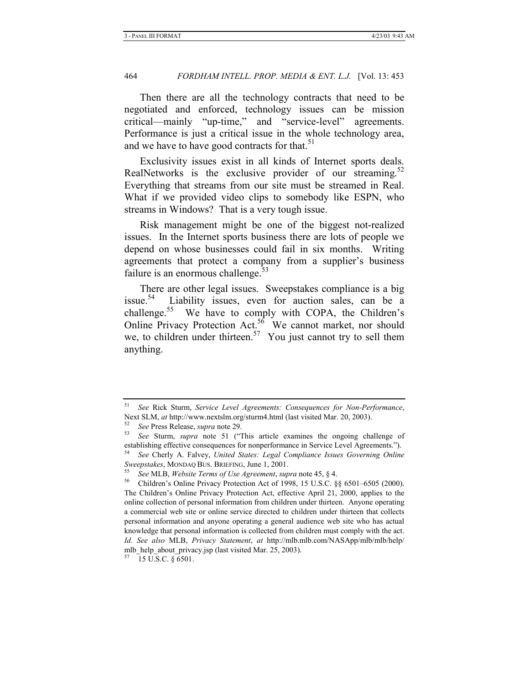Then there are all the technology contracts that need to be negotiated and enforced, technology issues can be mission critical—mainly "up-time," and "service-level" agreements. Performance is just a critical issue in the whole technology area, and we have to have good contracts for that.<sup>51</sup>

Exclusivity issues exist in all kinds of Internet sports deals. RealNetworks is the exclusive provider of our streaming.<sup>52</sup> Everything that streams from our site must be streamed in Real. What if we provided video clips to somebody like ESPN, who streams in Windows? That is a very tough issue.

Risk management might be one of the biggest not-realized issues. In the Internet sports business there are lots of people we depend on whose businesses could fail in six months. Writing agreements that protect a company from a supplier's business failure is an enormous challenge. $53$ 

There are other legal issues. Sweepstakes compliance is a big issue.54 Liability issues, even for auction sales, can be a challenge.<sup>55</sup> We have to comply with COPA, the Children's Online Privacy Protection Act.<sup>56</sup> We cannot market, nor should we, to children under thirteen.<sup>57</sup> You just cannot try to sell them anything.

<sup>51</sup> *See* Rick Sturm, *Service Level Agreements: Consequences for Non-Performance*, Next SLM, *at* http://www.nextslm.org/sturm4.html (last visited Mar. 20, 2003).<br><sup>52</sup> See Press Release, *supra* note 29.<br><sup>53</sup> See Sturm, *supra* note 51 ("This article examines the ongoing challenge of

establishing effective consequences for nonperformance in Service Level Agreements.").

<sup>54</sup> *See* Cherly A. Falvey, *United States: Legal Compliance Issues Governing Online Sweepstakes*, MONDAQ BUS. BRIEFING, June 1, 2001. 55 *See* MLB, *Website Terms of Use Agreement*, *supra* note 45, § 4. 56 Children's Online Privacy Protection Act of 1998, 15 U.S.C. §§ 6501–6505 (2000).

The Children's Online Privacy Protection Act, effective April 21, 2000, applies to the online collection of personal information from children under thirteen. Anyone operating a commercial web site or online service directed to children under thirteen that collects personal information and anyone operating a general audience web site who has actual knowledge that personal information is collected from children must comply with the act. *Id. See also* MLB, *Privacy Statement*, *at* http://mlb.mlb.com/NASApp/mlb/mlb/help/ mlb\_help\_about\_privacy.jsp (last visited Mar. 25, 2003).

 $57$  15 U.S.C. § 6501.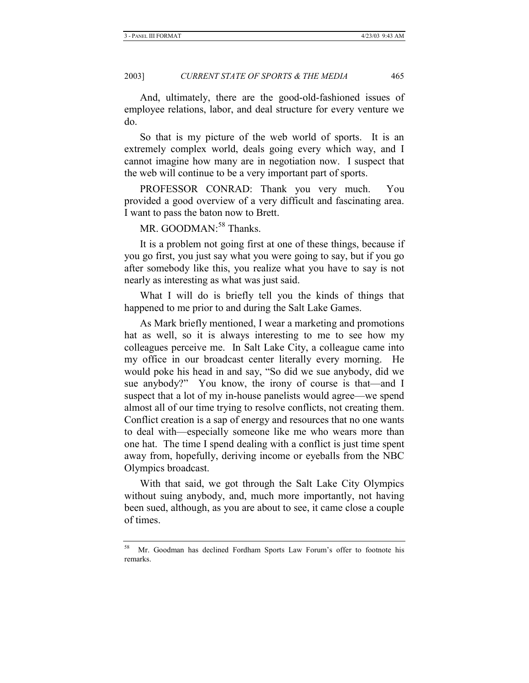And, ultimately, there are the good-old-fashioned issues of employee relations, labor, and deal structure for every venture we do.

So that is my picture of the web world of sports. It is an extremely complex world, deals going every which way, and I cannot imagine how many are in negotiation now. I suspect that the web will continue to be a very important part of sports.

PROFESSOR CONRAD: Thank you very much. You provided a good overview of a very difficult and fascinating area. I want to pass the baton now to Brett.

MR. GOODMAN:<sup>58</sup> Thanks.

It is a problem not going first at one of these things, because if you go first, you just say what you were going to say, but if you go after somebody like this, you realize what you have to say is not nearly as interesting as what was just said.

What I will do is briefly tell you the kinds of things that happened to me prior to and during the Salt Lake Games.

As Mark briefly mentioned, I wear a marketing and promotions hat as well, so it is always interesting to me to see how my colleagues perceive me. In Salt Lake City, a colleague came into my office in our broadcast center literally every morning. He would poke his head in and say, "So did we sue anybody, did we sue anybody?" You know, the irony of course is that—and I suspect that a lot of my in-house panelists would agree—we spend almost all of our time trying to resolve conflicts, not creating them. Conflict creation is a sap of energy and resources that no one wants to deal with—especially someone like me who wears more than one hat. The time I spend dealing with a conflict is just time spent away from, hopefully, deriving income or eyeballs from the NBC Olympics broadcast.

With that said, we got through the Salt Lake City Olympics without suing anybody, and, much more importantly, not having been sued, although, as you are about to see, it came close a couple of times.

<sup>58</sup> Mr. Goodman has declined Fordham Sports Law Forum's offer to footnote his remarks.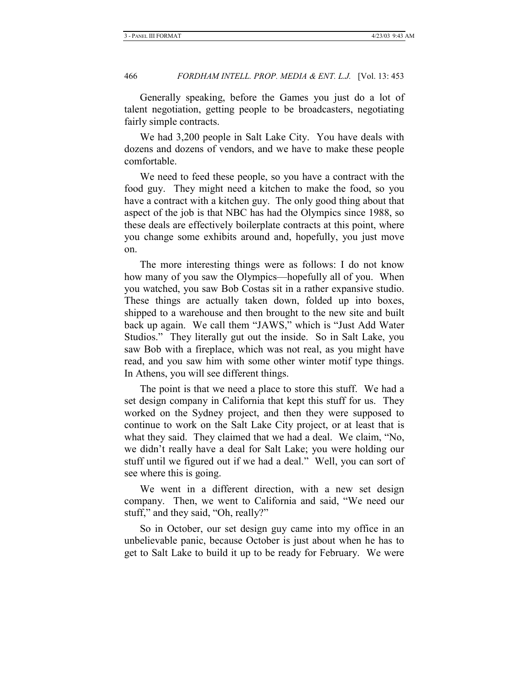Generally speaking, before the Games you just do a lot of talent negotiation, getting people to be broadcasters, negotiating fairly simple contracts.

We had 3,200 people in Salt Lake City. You have deals with dozens and dozens of vendors, and we have to make these people comfortable.

We need to feed these people, so you have a contract with the food guy. They might need a kitchen to make the food, so you have a contract with a kitchen guy. The only good thing about that aspect of the job is that NBC has had the Olympics since 1988, so these deals are effectively boilerplate contracts at this point, where you change some exhibits around and, hopefully, you just move on.

The more interesting things were as follows: I do not know how many of you saw the Olympics—hopefully all of you. When you watched, you saw Bob Costas sit in a rather expansive studio. These things are actually taken down, folded up into boxes, shipped to a warehouse and then brought to the new site and built back up again. We call them "JAWS," which is "Just Add Water Studios." They literally gut out the inside. So in Salt Lake, you saw Bob with a fireplace, which was not real, as you might have read, and you saw him with some other winter motif type things. In Athens, you will see different things.

The point is that we need a place to store this stuff. We had a set design company in California that kept this stuff for us. They worked on the Sydney project, and then they were supposed to continue to work on the Salt Lake City project, or at least that is what they said. They claimed that we had a deal. We claim, "No, we didn't really have a deal for Salt Lake; you were holding our stuff until we figured out if we had a deal." Well, you can sort of see where this is going.

We went in a different direction, with a new set design company. Then, we went to California and said, "We need our stuff," and they said, "Oh, really?"

So in October, our set design guy came into my office in an unbelievable panic, because October is just about when he has to get to Salt Lake to build it up to be ready for February. We were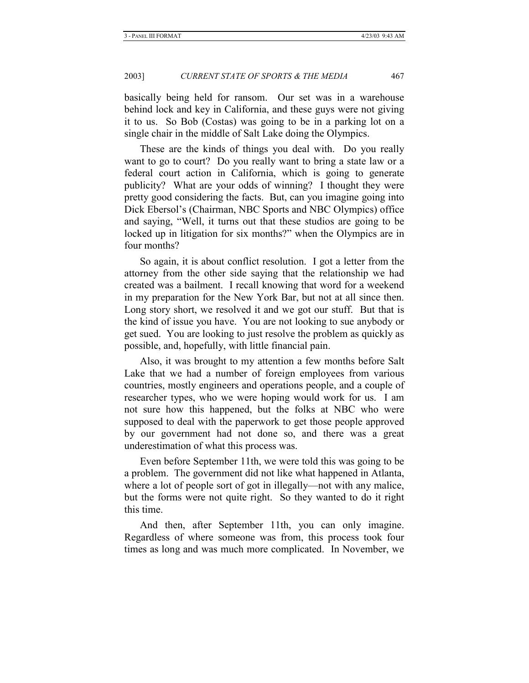basically being held for ransom. Our set was in a warehouse behind lock and key in California, and these guys were not giving it to us. So Bob (Costas) was going to be in a parking lot on a single chair in the middle of Salt Lake doing the Olympics.

These are the kinds of things you deal with. Do you really want to go to court? Do you really want to bring a state law or a federal court action in California, which is going to generate publicity? What are your odds of winning? I thought they were pretty good considering the facts. But, can you imagine going into Dick Ebersol's (Chairman, NBC Sports and NBC Olympics) office and saying, "Well, it turns out that these studios are going to be locked up in litigation for six months?" when the Olympics are in four months?

So again, it is about conflict resolution. I got a letter from the attorney from the other side saying that the relationship we had created was a bailment. I recall knowing that word for a weekend in my preparation for the New York Bar, but not at all since then. Long story short, we resolved it and we got our stuff. But that is the kind of issue you have. You are not looking to sue anybody or get sued. You are looking to just resolve the problem as quickly as possible, and, hopefully, with little financial pain.

Also, it was brought to my attention a few months before Salt Lake that we had a number of foreign employees from various countries, mostly engineers and operations people, and a couple of researcher types, who we were hoping would work for us. I am not sure how this happened, but the folks at NBC who were supposed to deal with the paperwork to get those people approved by our government had not done so, and there was a great underestimation of what this process was.

Even before September 11th, we were told this was going to be a problem. The government did not like what happened in Atlanta, where a lot of people sort of got in illegally—not with any malice, but the forms were not quite right. So they wanted to do it right this time.

And then, after September 11th, you can only imagine. Regardless of where someone was from, this process took four times as long and was much more complicated. In November, we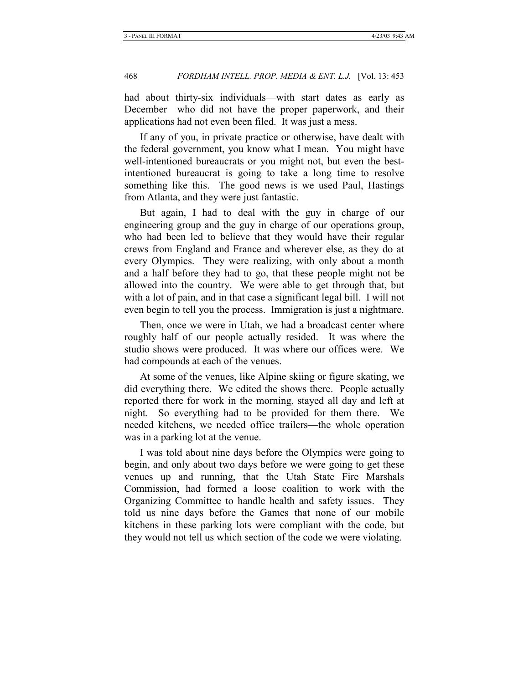had about thirty-six individuals—with start dates as early as December—who did not have the proper paperwork, and their applications had not even been filed. It was just a mess.

If any of you, in private practice or otherwise, have dealt with the federal government, you know what I mean. You might have well-intentioned bureaucrats or you might not, but even the bestintentioned bureaucrat is going to take a long time to resolve something like this. The good news is we used Paul, Hastings from Atlanta, and they were just fantastic.

But again, I had to deal with the guy in charge of our engineering group and the guy in charge of our operations group, who had been led to believe that they would have their regular crews from England and France and wherever else, as they do at every Olympics. They were realizing, with only about a month and a half before they had to go, that these people might not be allowed into the country. We were able to get through that, but with a lot of pain, and in that case a significant legal bill. I will not even begin to tell you the process. Immigration is just a nightmare.

Then, once we were in Utah, we had a broadcast center where roughly half of our people actually resided. It was where the studio shows were produced. It was where our offices were. We had compounds at each of the venues.

At some of the venues, like Alpine skiing or figure skating, we did everything there. We edited the shows there. People actually reported there for work in the morning, stayed all day and left at night. So everything had to be provided for them there. We needed kitchens, we needed office trailers—the whole operation was in a parking lot at the venue.

I was told about nine days before the Olympics were going to begin, and only about two days before we were going to get these venues up and running, that the Utah State Fire Marshals Commission, had formed a loose coalition to work with the Organizing Committee to handle health and safety issues. They told us nine days before the Games that none of our mobile kitchens in these parking lots were compliant with the code, but they would not tell us which section of the code we were violating.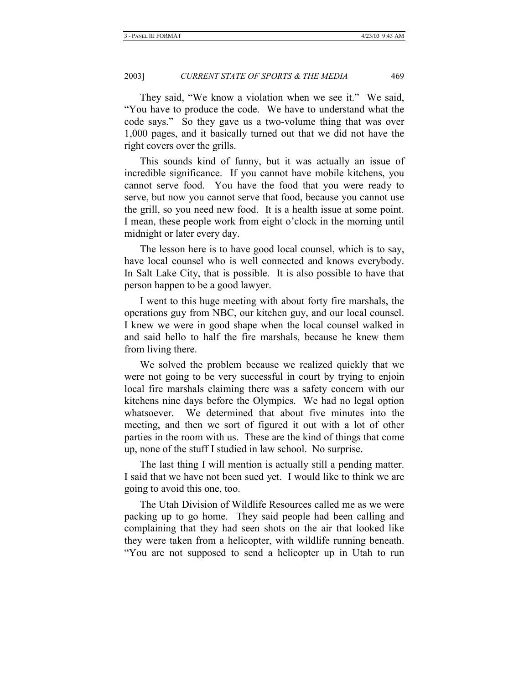They said, "We know a violation when we see it." We said, "You have to produce the code. We have to understand what the code says." So they gave us a two-volume thing that was over 1,000 pages, and it basically turned out that we did not have the right covers over the grills.

This sounds kind of funny, but it was actually an issue of incredible significance. If you cannot have mobile kitchens, you cannot serve food. You have the food that you were ready to serve, but now you cannot serve that food, because you cannot use the grill, so you need new food. It is a health issue at some point. I mean, these people work from eight o'clock in the morning until midnight or later every day.

The lesson here is to have good local counsel, which is to say, have local counsel who is well connected and knows everybody. In Salt Lake City, that is possible. It is also possible to have that person happen to be a good lawyer.

I went to this huge meeting with about forty fire marshals, the operations guy from NBC, our kitchen guy, and our local counsel. I knew we were in good shape when the local counsel walked in and said hello to half the fire marshals, because he knew them from living there.

We solved the problem because we realized quickly that we were not going to be very successful in court by trying to enjoin local fire marshals claiming there was a safety concern with our kitchens nine days before the Olympics. We had no legal option whatsoever. We determined that about five minutes into the meeting, and then we sort of figured it out with a lot of other parties in the room with us. These are the kind of things that come up, none of the stuff I studied in law school. No surprise.

The last thing I will mention is actually still a pending matter. I said that we have not been sued yet. I would like to think we are going to avoid this one, too.

The Utah Division of Wildlife Resources called me as we were packing up to go home. They said people had been calling and complaining that they had seen shots on the air that looked like they were taken from a helicopter, with wildlife running beneath. "You are not supposed to send a helicopter up in Utah to run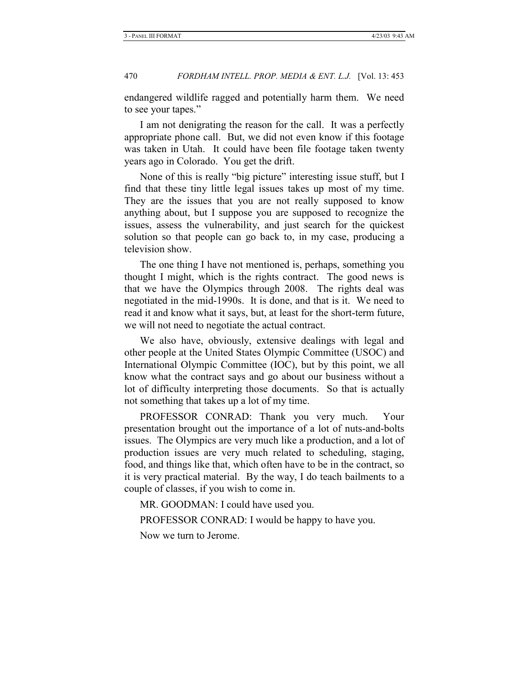endangered wildlife ragged and potentially harm them. We need to see your tapes."

I am not denigrating the reason for the call. It was a perfectly appropriate phone call. But, we did not even know if this footage was taken in Utah. It could have been file footage taken twenty years ago in Colorado. You get the drift.

None of this is really "big picture" interesting issue stuff, but I find that these tiny little legal issues takes up most of my time. They are the issues that you are not really supposed to know anything about, but I suppose you are supposed to recognize the issues, assess the vulnerability, and just search for the quickest solution so that people can go back to, in my case, producing a television show.

The one thing I have not mentioned is, perhaps, something you thought I might, which is the rights contract. The good news is that we have the Olympics through 2008. The rights deal was negotiated in the mid-1990s. It is done, and that is it. We need to read it and know what it says, but, at least for the short-term future, we will not need to negotiate the actual contract.

We also have, obviously, extensive dealings with legal and other people at the United States Olympic Committee (USOC) and International Olympic Committee (IOC), but by this point, we all know what the contract says and go about our business without a lot of difficulty interpreting those documents. So that is actually not something that takes up a lot of my time.

PROFESSOR CONRAD: Thank you very much. Your presentation brought out the importance of a lot of nuts-and-bolts issues. The Olympics are very much like a production, and a lot of production issues are very much related to scheduling, staging, food, and things like that, which often have to be in the contract, so it is very practical material. By the way, I do teach bailments to a couple of classes, if you wish to come in.

MR. GOODMAN: I could have used you.

PROFESSOR CONRAD: I would be happy to have you.

Now we turn to Jerome.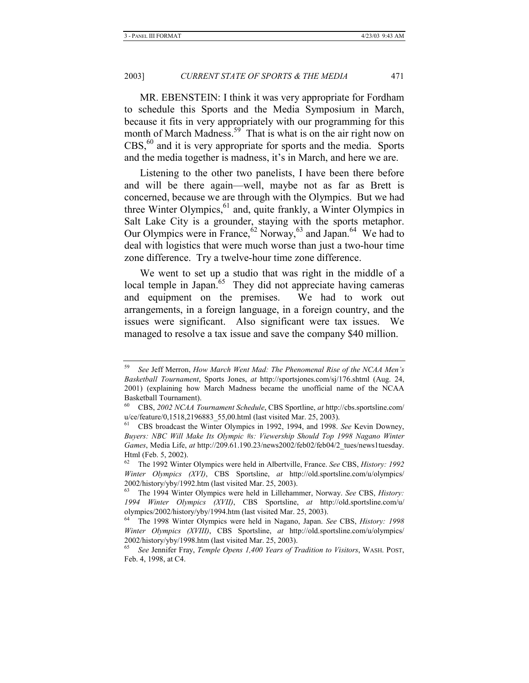MR. EBENSTEIN: I think it was very appropriate for Fordham to schedule this Sports and the Media Symposium in March, because it fits in very appropriately with our programming for this month of March Madness.<sup>59</sup> That is what is on the air right now on CBS,<sup>60</sup> and it is very appropriate for sports and the media. Sports and the media together is madness, it's in March, and here we are.

Listening to the other two panelists, I have been there before and will be there again—well, maybe not as far as Brett is concerned, because we are through with the Olympics. But we had three Winter Olympics,  $61$  and, quite frankly, a Winter Olympics in Salt Lake City is a grounder, staying with the sports metaphor. Our Olympics were in France,  $62$  Norway,  $63$  and Japan.<sup>64</sup> We had to deal with logistics that were much worse than just a two-hour time zone difference. Try a twelve-hour time zone difference.

We went to set up a studio that was right in the middle of a local temple in Japan.<sup>65</sup> They did not appreciate having cameras and equipment on the premises. We had to work out arrangements, in a foreign language, in a foreign country, and the issues were significant. Also significant were tax issues. We managed to resolve a tax issue and save the company \$40 million.

<sup>59</sup> *See* Jeff Merron, *How March Went Mad: The Phenomenal Rise of the NCAA Men's Basketball Tournament*, Sports Jones, *at* http://sportsjones.com/sj/176.shtml (Aug. 24, 2001) (explaining how March Madness became the unofficial name of the NCAA Basketball Tournament).

<sup>60</sup> CBS, *2002 NCAA Tournament Schedule*, CBS Sportline, *at* http://cbs.sportsline.com/ u/ce/feature/0,1518,2196883\_55,00.html (last visited Mar. 25, 2003).

<sup>61</sup> CBS broadcast the Winter Olympics in 1992, 1994, and 1998. *See* Kevin Downey, *Buyers: NBC Will Make Its Olympic #s: Viewership Should Top 1998 Nagano Winter Games*, Media Life, *at* http://209.61.190.23/news2002/feb02/feb04/2\_tues/news1tuesday. Html (Feb. 5, 2002).

<sup>62</sup> The 1992 Winter Olympics were held in Albertville, France. *See* CBS, *History: 1992 Winter Olympics (XVI)*, CBS Sportsline, *at* http://old.sportsline.com/u/olympics/ 2002/history/yby/1992.htm (last visited Mar. 25, 2003).

<sup>63</sup> The 1994 Winter Olympics were held in Lillehammer, Norway. *See* CBS, *History: 1994 Winter Olympics (XVII)*, CBS Sportsline, *at* http://old.sportsline.com/u/ olympics/2002/history/yby/1994.htm (last visited Mar. 25, 2003).

<sup>64</sup> The 1998 Winter Olympics were held in Nagano, Japan. *See* CBS, *History: 1998 Winter Olympics (XVIII)*, CBS Sportsline, *at* http://old.sportsline.com/u/olympics/ 2002/history/yby/1998.htm (last visited Mar. 25, 2003).

<sup>65</sup> *See* Jennifer Fray, *Temple Opens 1,400 Years of Tradition to Visitors*, WASH. POST, Feb. 4, 1998, at C4.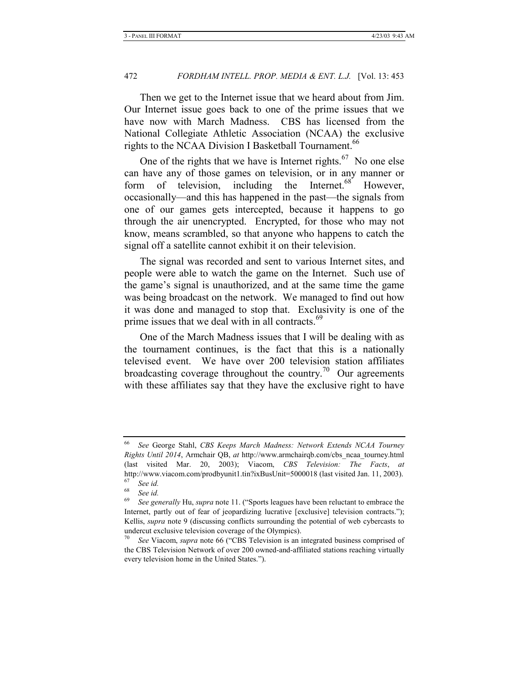Then we get to the Internet issue that we heard about from Jim. Our Internet issue goes back to one of the prime issues that we have now with March Madness. CBS has licensed from the National Collegiate Athletic Association (NCAA) the exclusive rights to the NCAA Division I Basketball Tournament.<sup>66</sup>

One of the rights that we have is Internet rights.<sup>67</sup> No one else can have any of those games on television, or in any manner or form of television, including the Internet. $68$  However, occasionally—and this has happened in the past—the signals from one of our games gets intercepted, because it happens to go through the air unencrypted. Encrypted, for those who may not know, means scrambled, so that anyone who happens to catch the signal off a satellite cannot exhibit it on their television.

The signal was recorded and sent to various Internet sites, and people were able to watch the game on the Internet. Such use of the game's signal is unauthorized, and at the same time the game was being broadcast on the network. We managed to find out how it was done and managed to stop that. Exclusivity is one of the prime issues that we deal with in all contracts.<sup>69</sup>

One of the March Madness issues that I will be dealing with as the tournament continues, is the fact that this is a nationally televised event. We have over 200 television station affiliates broadcasting coverage throughout the country.<sup>70</sup> Our agreements with these affiliates say that they have the exclusive right to have

<sup>66</sup> *See* George Stahl, *CBS Keeps March Madness: Network Extends NCAA Tourney Rights Until 2014*, Armchair QB, *at* http://www.armchairqb.com/cbs\_ncaa\_tourney.html (last visited Mar. 20, 2003); Viacom, *CBS Television: The Facts*, *at*  http://www.viacom.com/prodbyunit1.tin?ixBusUnit=5000018 (last visited Jan. 11, 2003).

 $67$  See id.<br> $68$  See id. <sup>68</sup> *See id.*

<sup>69</sup> *See generally* Hu, *supra* note 11. ("Sports leagues have been reluctant to embrace the Internet, partly out of fear of jeopardizing lucrative [exclusive] television contracts."); Kellis, *supra* note 9 (discussing conflicts surrounding the potential of web cybercasts to undercut exclusive television coverage of the Olympics).

<sup>70</sup> *See* Viacom, *supra* note 66 ("CBS Television is an integrated business comprised of the CBS Television Network of over 200 owned-and-affiliated stations reaching virtually every television home in the United States.").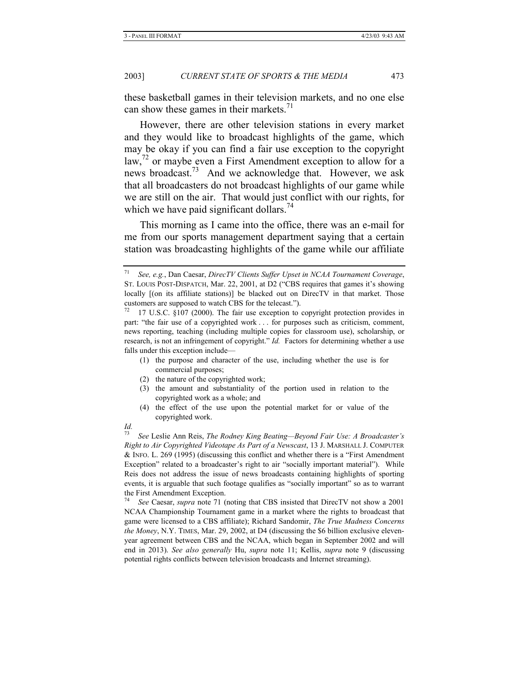these basketball games in their television markets, and no one else can show these games in their markets.<sup>71</sup>

However, there are other television stations in every market and they would like to broadcast highlights of the game, which may be okay if you can find a fair use exception to the copyright  $\int$ law, $\frac{72}{1}$  or maybe even a First Amendment exception to allow for a news broadcast.<sup>73</sup> And we acknowledge that. However, we ask that all broadcasters do not broadcast highlights of our game while we are still on the air. That would just conflict with our rights, for which we have paid significant dollars.<sup>74</sup>

This morning as I came into the office, there was an e-mail for me from our sports management department saying that a certain station was broadcasting highlights of the game while our affiliate

- (1) the purpose and character of the use, including whether the use is for commercial purposes;
- (2) the nature of the copyrighted work;
- (3) the amount and substantiality of the portion used in relation to the copyrighted work as a whole; and
- (4) the effect of the use upon the potential market for or value of the copyrighted work.

<sup>74</sup> *See* Caesar, *supra* note 71 (noting that CBS insisted that DirecTV not show a 2001 NCAA Championship Tournament game in a market where the rights to broadcast that game were licensed to a CBS affiliate); Richard Sandomir, *The True Madness Concerns the Money*, N.Y. TIMES, Mar. 29, 2002, at D4 (discussing the \$6 billion exclusive elevenyear agreement between CBS and the NCAA, which began in September 2002 and will end in 2013). *See also generally* Hu, *supra* note 11; Kellis, *supra* note 9 (discussing potential rights conflicts between television broadcasts and Internet streaming).

<sup>71</sup> *See, e.g.*, Dan Caesar, *DirecTV Clients Suffer Upset in NCAA Tournament Coverage*, ST. LOUIS POST-DISPATCH, Mar. 22, 2001, at D2 ("CBS requires that games it's showing locally [(on its affiliate stations)] be blacked out on DirecTV in that market. Those customers are supposed to watch CBS for the telecast.").<br><sup>72</sup> 17 U.S.C. §107 (2000). The fair use exception to copyright protection provides in

part: "the fair use of a copyrighted work . . . for purposes such as criticism, comment, news reporting, teaching (including multiple copies for classroom use), scholarship, or research, is not an infringement of copyright." *Id.* Factors for determining whether a use falls under this exception include—

*Id.*

<sup>73</sup> *See* Leslie Ann Reis, *The Rodney King Beating—Beyond Fair Use: A Broadcaster's Right to Air Copyrighted Videotape As Part of a Newscast*, 13 J. MARSHALL J. COMPUTER & INFO. L. 269 (1995) (discussing this conflict and whether there is a "First Amendment Exception" related to a broadcaster's right to air "socially important material"). While Reis does not address the issue of news broadcasts containing highlights of sporting events, it is arguable that such footage qualifies as "socially important" so as to warrant the First Amendment Exception.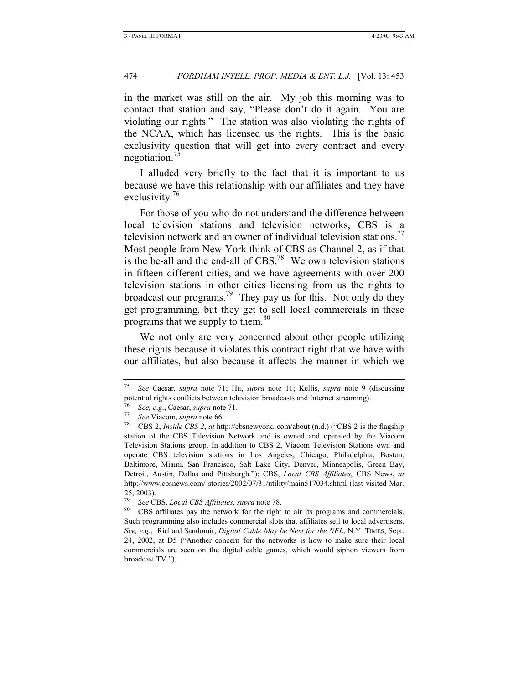in the market was still on the air. My job this morning was to contact that station and say, "Please don't do it again. You are violating our rights." The station was also violating the rights of the NCAA, which has licensed us the rights. This is the basic exclusivity question that will get into every contract and every negotiation.<sup>75</sup>

I alluded very briefly to the fact that it is important to us because we have this relationship with our affiliates and they have exclusivity. $16$ 

For those of you who do not understand the difference between local television stations and television networks, CBS is a television network and an owner of individual television stations.<sup>77</sup> Most people from New York think of CBS as Channel 2, as if that is the be-all and the end-all of  $CBS<sup>78</sup>$ . We own television stations in fifteen different cities, and we have agreements with over 200 television stations in other cities licensing from us the rights to broadcast our programs.<sup>79</sup> They pay us for this. Not only do they get programming, but they get to sell local commercials in these programs that we supply to them.<sup>80</sup>

We not only are very concerned about other people utilizing these rights because it violates this contract right that we have with our affiliates, but also because it affects the manner in which we

<sup>75</sup> *See* Caesar, *supra* note 71; Hu, *supra* note 11; Kellis, *supra* note 9 (discussing potential rights conflicts between television broadcasts and Internet streaming).

<sup>76</sup> *See, <sup>e</sup>*.*g*., Caesar, *supra* note 71. 77 *See* Viacom, *supra* note 66. 78 CBS 2, *Inside CBS 2*, *at* http://cbsnewyork. com/about (n.d.) ("CBS 2 is the flagship station of the CBS Television Network and is owned and operated by the Viacom Television Stations group. In addition to CBS 2, Viacom Television Stations own and operate CBS television stations in Los Angeles, Chicago, Philadelphia, Boston, Baltimore, Miami, San Francisco, Salt Lake City, Denver, Minneapolis, Green Bay, Detroit, Austin, Dallas and Pittsburgh."); CBS, *Local CBS Affiliates*, CBS News, *at*  http://www.cbsnews.com/ stories/2002/07/31/utility/main517034.shtml (last visited Mar. 25, 2003).

<sup>&</sup>lt;sup>79</sup> See CBS, *Local CBS Affiliates*, *supra* note 78.<br><sup>80</sup> CBS affiliates pay the network for the right to air its programs and commercials. Such programming also includes commercial slots that affiliates sell to local advertisers. *See, e.g.*, Richard Sandomir, *Digital Cable May be Next for the NFL*, N.Y. TIMES, Sept. 24, 2002, at D5 ("Another concern for the networks is how to make sure their local commercials are seen on the digital cable games, which would siphon viewers from broadcast TV.").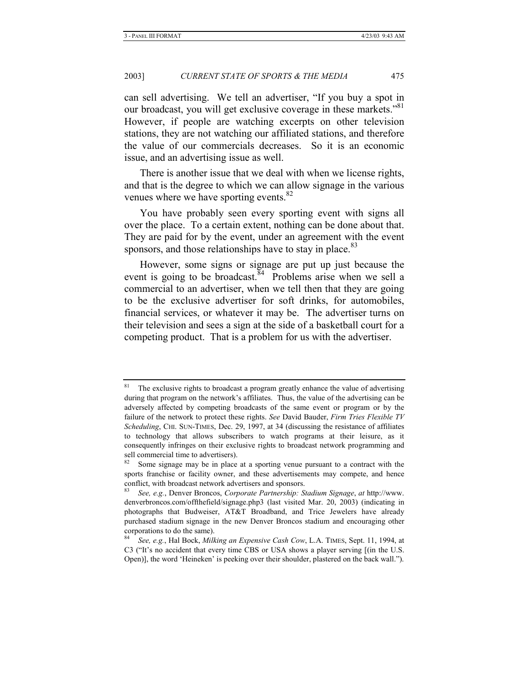can sell advertising. We tell an advertiser, "If you buy a spot in our broadcast, you will get exclusive coverage in these markets."<sup>81</sup> However, if people are watching excerpts on other television stations, they are not watching our affiliated stations, and therefore the value of our commercials decreases. So it is an economic issue, and an advertising issue as well.

There is another issue that we deal with when we license rights, and that is the degree to which we can allow signage in the various venues where we have sporting events.<sup>82</sup>

You have probably seen every sporting event with signs all over the place. To a certain extent, nothing can be done about that. They are paid for by the event, under an agreement with the event sponsors, and those relationships have to stay in place.<sup>83</sup>

However, some signs or signage are put up just because the event is going to be broadcast.<sup>84</sup> Problems arise when we sell a commercial to an advertiser, when we tell then that they are going to be the exclusive advertiser for soft drinks, for automobiles, financial services, or whatever it may be. The advertiser turns on their television and sees a sign at the side of a basketball court for a competing product. That is a problem for us with the advertiser.

<sup>&</sup>lt;sup>81</sup> The exclusive rights to broadcast a program greatly enhance the value of advertising during that program on the network's affiliates. Thus, the value of the advertising can be adversely affected by competing broadcasts of the same event or program or by the failure of the network to protect these rights. *See* David Bauder, *Firm Tries Flexible TV Scheduling*, CHI. SUN-TIMES, Dec. 29, 1997, at 34 (discussing the resistance of affiliates to technology that allows subscribers to watch programs at their leisure, as it consequently infringes on their exclusive rights to broadcast network programming and sell commercial time to advertisers).

<sup>&</sup>lt;sup>82</sup> Some signage may be in place at a sporting venue pursuant to a contract with the sports franchise or facility owner, and these advertisements may compete, and hence conflict, with broadcast network advertisers and sponsors.

<sup>83</sup> *See, e.g.*, Denver Broncos, *Corporate Partnership: Stadium Signage*, *at* http://www. denverbroncos.com/offthefield/signage.php3 (last visited Mar. 20, 2003) (indicating in photographs that Budweiser, AT&T Broadband, and Trice Jewelers have already purchased stadium signage in the new Denver Broncos stadium and encouraging other corporations to do the same).

<sup>84</sup> *See, e.g.*, Hal Bock, *Milking an Expensive Cash Cow*, L.A. TIMES, Sept. 11, 1994, at C3 ("It's no accident that every time CBS or USA shows a player serving [(in the U.S. Open)], the word 'Heineken' is peeking over their shoulder, plastered on the back wall.").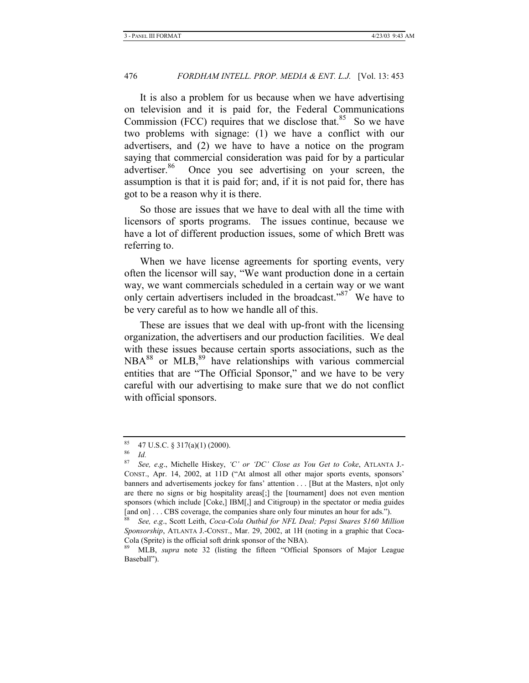It is also a problem for us because when we have advertising on television and it is paid for, the Federal Communications Commission (FCC) requires that we disclose that.<sup>85</sup> So we have two problems with signage: (1) we have a conflict with our advertisers, and (2) we have to have a notice on the program saying that commercial consideration was paid for by a particular advertiser.<sup>86</sup> Once you see advertising on your screen, the assumption is that it is paid for; and, if it is not paid for, there has got to be a reason why it is there.

So those are issues that we have to deal with all the time with licensors of sports programs. The issues continue, because we have a lot of different production issues, some of which Brett was referring to.

When we have license agreements for sporting events, very often the licensor will say, "We want production done in a certain way, we want commercials scheduled in a certain way or we want only certain advertisers included in the broadcast."<sup>87</sup> We have to be very careful as to how we handle all of this.

These are issues that we deal with up-front with the licensing organization, the advertisers and our production facilities. We deal with these issues because certain sports associations, such as the  $NBA^{88}$  or  $MLB<sub>1</sub><sup>89</sup>$  have relationships with various commercial entities that are "The Official Sponsor," and we have to be very careful with our advertising to make sure that we do not conflict with official sponsors.

 $\frac{85}{86}$  47 U.S.C. § 317(a)(1) (2000).

 $rac{86}{87}$  *Id.* 

<sup>87</sup> *See, e*.*g*., Michelle Hiskey, *'C' or 'DC' Close as You Get to Coke*, ATLANTA J.- CONST., Apr. 14, 2002, at 11D ("At almost all other major sports events, sponsors' banners and advertisements jockey for fans' attention . . . [But at the Masters, n]ot only are there no signs or big hospitality areas[;] the [tournament] does not even mention sponsors (which include [Coke,] IBM[,] and Citigroup) in the spectator or media guides [and on] . . . CBS coverage, the companies share only four minutes an hour for ads.").

<sup>88</sup> *See, e*.*g*., Scott Leith, *Coca-Cola Outbid for NFL Deal; Pepsi Snares \$160 Million Sponsorship*, ATLANTA J.-CONST., Mar. 29, 2002, at 1H (noting in a graphic that Coca-Cola (Sprite) is the official soft drink sponsor of the NBA).

<sup>89</sup> MLB, *supra* note 32 (listing the fifteen "Official Sponsors of Major League Baseball").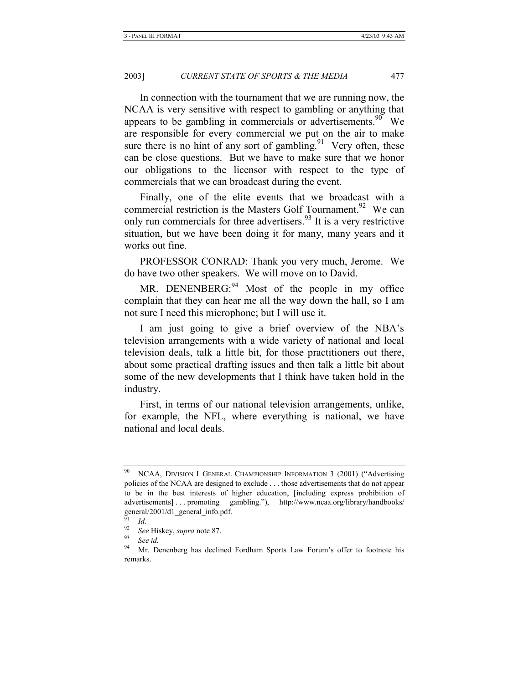In connection with the tournament that we are running now, the NCAA is very sensitive with respect to gambling or anything that appears to be gambling in commercials or advertisements.<sup>90</sup> We are responsible for every commercial we put on the air to make sure there is no hint of any sort of gambling.<sup>91</sup> Very often, these can be close questions. But we have to make sure that we honor our obligations to the licensor with respect to the type of commercials that we can broadcast during the event.

Finally, one of the elite events that we broadcast with a commercial restriction is the Masters Golf Tournament.<sup>92</sup> We can only run commercials for three advertisers.<sup>93</sup> It is a very restrictive situation, but we have been doing it for many, many years and it works out fine.

PROFESSOR CONRAD: Thank you very much, Jerome. We do have two other speakers. We will move on to David.

MR. DENENBERG:<sup>94</sup> Most of the people in my office complain that they can hear me all the way down the hall, so I am not sure I need this microphone; but I will use it.

I am just going to give a brief overview of the NBA's television arrangements with a wide variety of national and local television deals, talk a little bit, for those practitioners out there, about some practical drafting issues and then talk a little bit about some of the new developments that I think have taken hold in the industry.

First, in terms of our national television arrangements, unlike, for example, the NFL, where everything is national, we have national and local deals.

NCAA, DIVISION I GENERAL CHAMPIONSHIP INFORMATION 3 (2001) ("Advertising policies of the NCAA are designed to exclude . . . those advertisements that do not appear to be in the best interests of higher education, [including express prohibition of advertisements] . . . promoting gambling."), http://www.ncaa.org/library/handbooks/ general/2001/d1\_general\_info.pdf.

 $\frac{91}{92}$  *Id.* 

<sup>92</sup> *See* Hiskey, *supra* note 87. 93 *See id.*

<sup>&</sup>lt;sup>94</sup> Mr. Denenberg has declined Fordham Sports Law Forum's offer to footnote his remarks.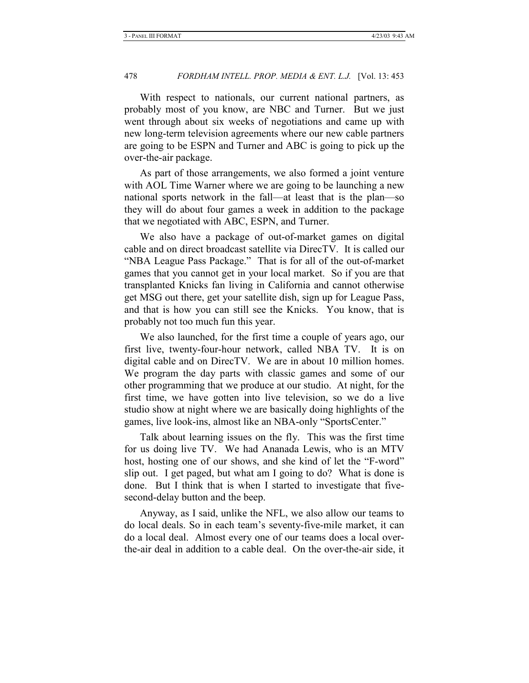With respect to nationals, our current national partners, as probably most of you know, are NBC and Turner. But we just went through about six weeks of negotiations and came up with new long-term television agreements where our new cable partners are going to be ESPN and Turner and ABC is going to pick up the over-the-air package.

As part of those arrangements, we also formed a joint venture with AOL Time Warner where we are going to be launching a new national sports network in the fall—at least that is the plan—so they will do about four games a week in addition to the package that we negotiated with ABC, ESPN, and Turner.

We also have a package of out-of-market games on digital cable and on direct broadcast satellite via DirecTV. It is called our "NBA League Pass Package." That is for all of the out-of-market games that you cannot get in your local market. So if you are that transplanted Knicks fan living in California and cannot otherwise get MSG out there, get your satellite dish, sign up for League Pass, and that is how you can still see the Knicks. You know, that is probably not too much fun this year.

We also launched, for the first time a couple of years ago, our first live, twenty-four-hour network, called NBA TV. It is on digital cable and on DirecTV. We are in about 10 million homes. We program the day parts with classic games and some of our other programming that we produce at our studio. At night, for the first time, we have gotten into live television, so we do a live studio show at night where we are basically doing highlights of the games, live look-ins, almost like an NBA-only "SportsCenter."

Talk about learning issues on the fly. This was the first time for us doing live TV. We had Ananada Lewis, who is an MTV host, hosting one of our shows, and she kind of let the "F-word" slip out. I get paged, but what am I going to do? What is done is done. But I think that is when I started to investigate that fivesecond-delay button and the beep.

Anyway, as I said, unlike the NFL, we also allow our teams to do local deals. So in each team's seventy-five-mile market, it can do a local deal. Almost every one of our teams does a local overthe-air deal in addition to a cable deal. On the over-the-air side, it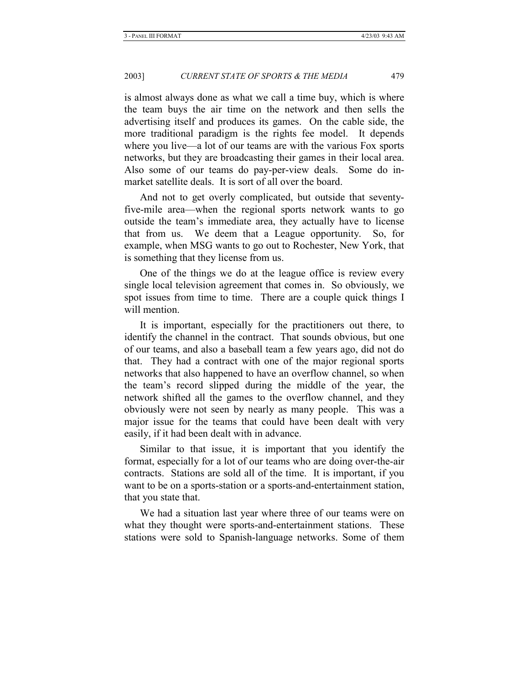is almost always done as what we call a time buy, which is where the team buys the air time on the network and then sells the advertising itself and produces its games. On the cable side, the more traditional paradigm is the rights fee model. It depends where you live—a lot of our teams are with the various Fox sports networks, but they are broadcasting their games in their local area. Also some of our teams do pay-per-view deals. Some do inmarket satellite deals. It is sort of all over the board.

And not to get overly complicated, but outside that seventyfive-mile area—when the regional sports network wants to go outside the team's immediate area, they actually have to license that from us. We deem that a League opportunity. So, for example, when MSG wants to go out to Rochester, New York, that is something that they license from us.

One of the things we do at the league office is review every single local television agreement that comes in. So obviously, we spot issues from time to time. There are a couple quick things I will mention.

It is important, especially for the practitioners out there, to identify the channel in the contract. That sounds obvious, but one of our teams, and also a baseball team a few years ago, did not do that. They had a contract with one of the major regional sports networks that also happened to have an overflow channel, so when the team's record slipped during the middle of the year, the network shifted all the games to the overflow channel, and they obviously were not seen by nearly as many people. This was a major issue for the teams that could have been dealt with very easily, if it had been dealt with in advance.

Similar to that issue, it is important that you identify the format, especially for a lot of our teams who are doing over-the-air contracts. Stations are sold all of the time. It is important, if you want to be on a sports-station or a sports-and-entertainment station, that you state that.

We had a situation last year where three of our teams were on what they thought were sports-and-entertainment stations. These stations were sold to Spanish-language networks. Some of them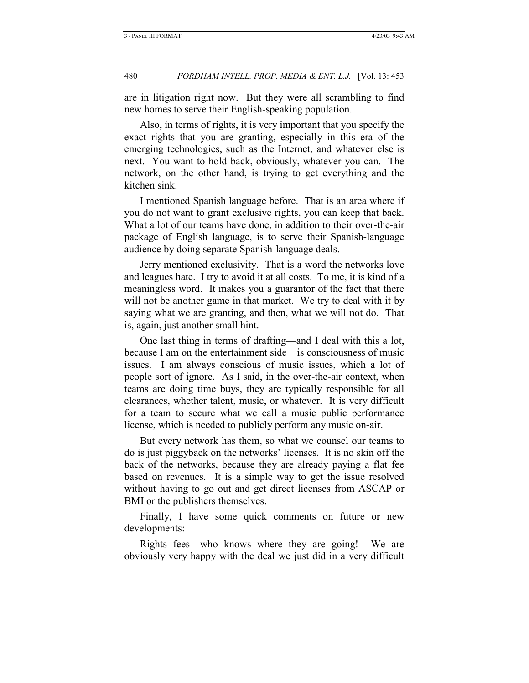are in litigation right now. But they were all scrambling to find new homes to serve their English-speaking population.

Also, in terms of rights, it is very important that you specify the exact rights that you are granting, especially in this era of the emerging technologies, such as the Internet, and whatever else is next. You want to hold back, obviously, whatever you can. The network, on the other hand, is trying to get everything and the kitchen sink.

I mentioned Spanish language before. That is an area where if you do not want to grant exclusive rights, you can keep that back. What a lot of our teams have done, in addition to their over-the-air package of English language, is to serve their Spanish-language audience by doing separate Spanish-language deals.

Jerry mentioned exclusivity. That is a word the networks love and leagues hate. I try to avoid it at all costs. To me, it is kind of a meaningless word. It makes you a guarantor of the fact that there will not be another game in that market. We try to deal with it by saying what we are granting, and then, what we will not do. That is, again, just another small hint.

One last thing in terms of drafting—and I deal with this a lot, because I am on the entertainment side—is consciousness of music issues. I am always conscious of music issues, which a lot of people sort of ignore. As I said, in the over-the-air context, when teams are doing time buys, they are typically responsible for all clearances, whether talent, music, or whatever. It is very difficult for a team to secure what we call a music public performance license, which is needed to publicly perform any music on-air.

But every network has them, so what we counsel our teams to do is just piggyback on the networks' licenses. It is no skin off the back of the networks, because they are already paying a flat fee based on revenues. It is a simple way to get the issue resolved without having to go out and get direct licenses from ASCAP or BMI or the publishers themselves.

Finally, I have some quick comments on future or new developments:

Rights fees—who knows where they are going! We are obviously very happy with the deal we just did in a very difficult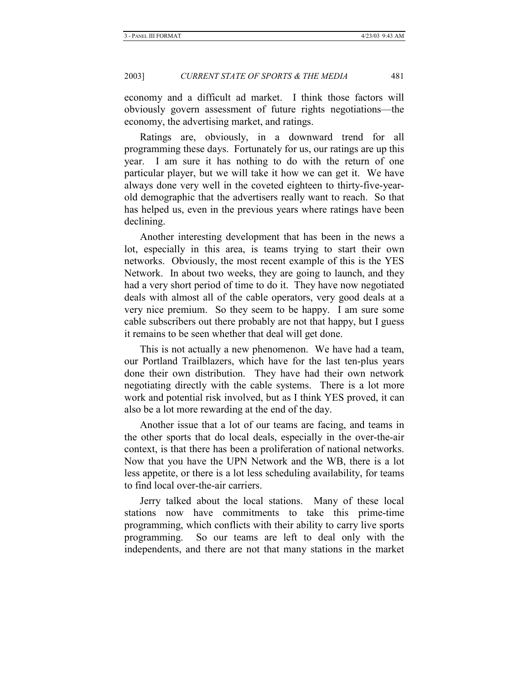economy and a difficult ad market. I think those factors will obviously govern assessment of future rights negotiations—the economy, the advertising market, and ratings.

Ratings are, obviously, in a downward trend for all programming these days. Fortunately for us, our ratings are up this year. I am sure it has nothing to do with the return of one particular player, but we will take it how we can get it. We have always done very well in the coveted eighteen to thirty-five-yearold demographic that the advertisers really want to reach. So that has helped us, even in the previous years where ratings have been declining.

Another interesting development that has been in the news a lot, especially in this area, is teams trying to start their own networks. Obviously, the most recent example of this is the YES Network. In about two weeks, they are going to launch, and they had a very short period of time to do it. They have now negotiated deals with almost all of the cable operators, very good deals at a very nice premium. So they seem to be happy. I am sure some cable subscribers out there probably are not that happy, but I guess it remains to be seen whether that deal will get done.

This is not actually a new phenomenon. We have had a team, our Portland Trailblazers, which have for the last ten-plus years done their own distribution. They have had their own network negotiating directly with the cable systems. There is a lot more work and potential risk involved, but as I think YES proved, it can also be a lot more rewarding at the end of the day.

Another issue that a lot of our teams are facing, and teams in the other sports that do local deals, especially in the over-the-air context, is that there has been a proliferation of national networks. Now that you have the UPN Network and the WB, there is a lot less appetite, or there is a lot less scheduling availability, for teams to find local over-the-air carriers.

Jerry talked about the local stations. Many of these local stations now have commitments to take this prime-time programming, which conflicts with their ability to carry live sports programming. So our teams are left to deal only with the independents, and there are not that many stations in the market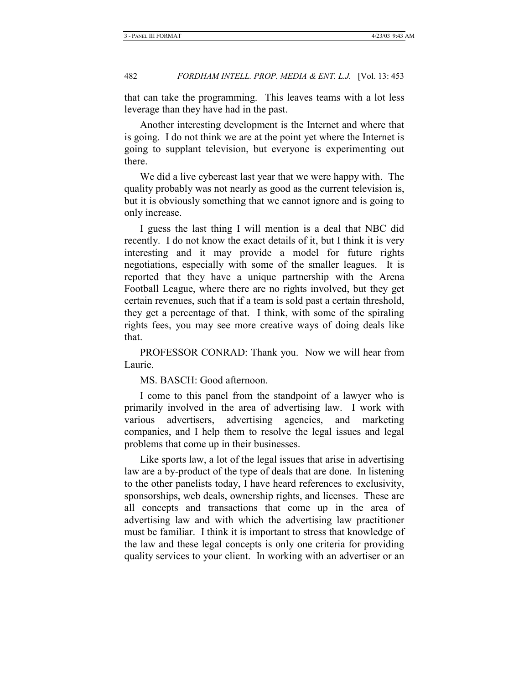that can take the programming. This leaves teams with a lot less leverage than they have had in the past.

Another interesting development is the Internet and where that is going. I do not think we are at the point yet where the Internet is going to supplant television, but everyone is experimenting out there.

We did a live cybercast last year that we were happy with. The quality probably was not nearly as good as the current television is, but it is obviously something that we cannot ignore and is going to only increase.

I guess the last thing I will mention is a deal that NBC did recently. I do not know the exact details of it, but I think it is very interesting and it may provide a model for future rights negotiations, especially with some of the smaller leagues. It is reported that they have a unique partnership with the Arena Football League, where there are no rights involved, but they get certain revenues, such that if a team is sold past a certain threshold, they get a percentage of that. I think, with some of the spiraling rights fees, you may see more creative ways of doing deals like that.

PROFESSOR CONRAD: Thank you. Now we will hear from Laurie.

MS. BASCH: Good afternoon.

I come to this panel from the standpoint of a lawyer who is primarily involved in the area of advertising law. I work with various advertisers, advertising agencies, and marketing companies, and I help them to resolve the legal issues and legal problems that come up in their businesses.

Like sports law, a lot of the legal issues that arise in advertising law are a by-product of the type of deals that are done. In listening to the other panelists today, I have heard references to exclusivity, sponsorships, web deals, ownership rights, and licenses. These are all concepts and transactions that come up in the area of advertising law and with which the advertising law practitioner must be familiar. I think it is important to stress that knowledge of the law and these legal concepts is only one criteria for providing quality services to your client. In working with an advertiser or an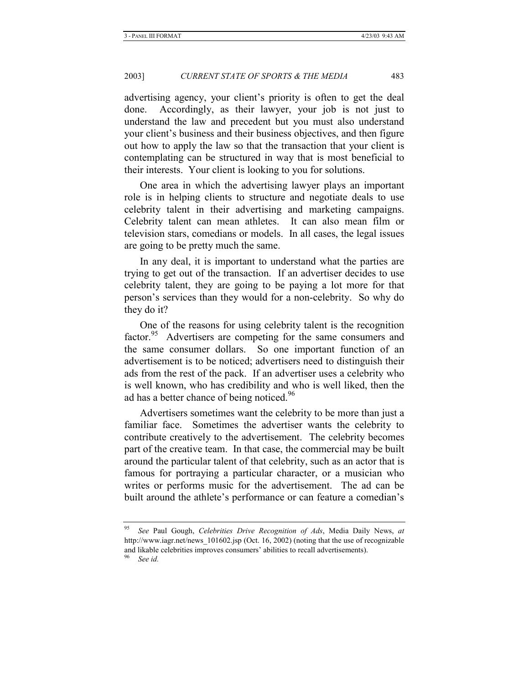advertising agency, your client's priority is often to get the deal done. Accordingly, as their lawyer, your job is not just to understand the law and precedent but you must also understand your client's business and their business objectives, and then figure out how to apply the law so that the transaction that your client is contemplating can be structured in way that is most beneficial to their interests. Your client is looking to you for solutions.

One area in which the advertising lawyer plays an important role is in helping clients to structure and negotiate deals to use celebrity talent in their advertising and marketing campaigns. Celebrity talent can mean athletes. It can also mean film or television stars, comedians or models. In all cases, the legal issues are going to be pretty much the same.

In any deal, it is important to understand what the parties are trying to get out of the transaction. If an advertiser decides to use celebrity talent, they are going to be paying a lot more for that person's services than they would for a non-celebrity. So why do they do it?

One of the reasons for using celebrity talent is the recognition factor.<sup>95</sup> Advertisers are competing for the same consumers and the same consumer dollars. So one important function of an advertisement is to be noticed; advertisers need to distinguish their ads from the rest of the pack. If an advertiser uses a celebrity who is well known, who has credibility and who is well liked, then the ad has a better chance of being noticed.<sup>96</sup>

Advertisers sometimes want the celebrity to be more than just a familiar face. Sometimes the advertiser wants the celebrity to contribute creatively to the advertisement. The celebrity becomes part of the creative team. In that case, the commercial may be built around the particular talent of that celebrity, such as an actor that is famous for portraying a particular character, or a musician who writes or performs music for the advertisement. The ad can be built around the athlete's performance or can feature a comedian's

<sup>95</sup> *See* Paul Gough, *Celebrities Drive Recognition of Ads*, Media Daily News, *at*  http://www.iagr.net/news\_101602.jsp (Oct. 16, 2002) (noting that the use of recognizable and likable celebrities improves consumers' abilities to recall advertisements).

See id.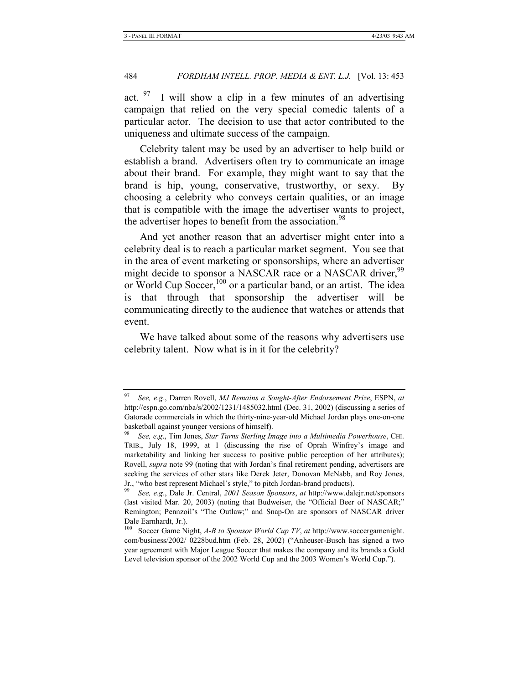act.  $97$  I will show a clip in a few minutes of an advertising campaign that relied on the very special comedic talents of a particular actor. The decision to use that actor contributed to the uniqueness and ultimate success of the campaign.

Celebrity talent may be used by an advertiser to help build or establish a brand. Advertisers often try to communicate an image about their brand. For example, they might want to say that the brand is hip, young, conservative, trustworthy, or sexy. By choosing a celebrity who conveys certain qualities, or an image that is compatible with the image the advertiser wants to project, the advertiser hopes to benefit from the association.<sup>98</sup>

And yet another reason that an advertiser might enter into a celebrity deal is to reach a particular market segment. You see that in the area of event marketing or sponsorships, where an advertiser might decide to sponsor a NASCAR race or a NASCAR driver,<sup>9</sup> or World Cup Soccer,<sup>100</sup> or a particular band, or an artist. The idea is that through that sponsorship the advertiser will be communicating directly to the audience that watches or attends that event.

We have talked about some of the reasons why advertisers use celebrity talent. Now what is in it for the celebrity?

<sup>97</sup> *See, e*.*g*., Darren Rovell, *MJ Remains a Sought-After Endorsement Prize*, ESPN, *at*  http://espn.go.com/nba/s/2002/1231/1485032.html (Dec. 31, 2002) (discussing a series of Gatorade commercials in which the thirty-nine-year-old Michael Jordan plays one-on-one basketball against younger versions of himself).

<sup>98</sup> *See, e*.*g*., Tim Jones, *Star Turns Sterling Image into a Multimedia Powerhouse*, CHI. TRIB., July 18, 1999, at 1 (discussing the rise of Oprah Winfrey's image and marketability and linking her success to positive public perception of her attributes); Rovell, *supra* note 99 (noting that with Jordan's final retirement pending, advertisers are seeking the services of other stars like Derek Jeter, Donovan McNabb, and Roy Jones, Jr., "who best represent Michael's style," to pitch Jordan-brand products).

<sup>99</sup> *See, e*.*g*., Dale Jr. Central, *2001 Season Sponsors*, *at* http://www.dalejr.net/sponsors (last visited Mar. 20, 2003) (noting that Budweiser, the "Official Beer of NASCAR;" Remington; Pennzoil's "The Outlaw;" and Snap-On are sponsors of NASCAR driver Dale Earnhardt, Jr.).<br><sup>100</sup> Soccer Game Ni

<sup>100</sup> Soccer Game Night, *A-B to Sponsor World Cup TV*, *at* http://www.soccergamenight. com/business/2002/ 0228bud.htm (Feb. 28, 2002) ("Anheuser-Busch has signed a two year agreement with Major League Soccer that makes the company and its brands a Gold Level television sponsor of the 2002 World Cup and the 2003 Women's World Cup.").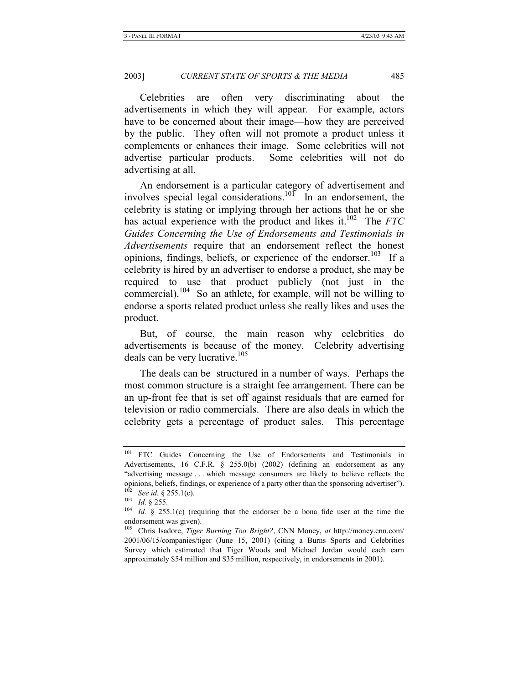Celebrities are often very discriminating about the advertisements in which they will appear. For example, actors have to be concerned about their image—how they are perceived by the public. They often will not promote a product unless it complements or enhances their image. Some celebrities will not advertise particular products. Some celebrities will not do advertising at all.

An endorsement is a particular category of advertisement and involves special legal considerations.<sup>101</sup> In an endorsement, the celebrity is stating or implying through her actions that he or she has actual experience with the product and likes it.<sup>102</sup> The *FTC Guides Concerning the Use of Endorsements and Testimonials in Advertisements* require that an endorsement reflect the honest opinions, findings, beliefs, or experience of the endorser.<sup>103</sup> If a celebrity is hired by an advertiser to endorse a product, she may be required to use that product publicly (not just in the commercial).104 So an athlete, for example, will not be willing to endorse a sports related product unless she really likes and uses the product.

But, of course, the main reason why celebrities do advertisements is because of the money. Celebrity advertising deals can be very lucrative.<sup>105</sup>

The deals can be structured in a number of ways. Perhaps the most common structure is a straight fee arrangement. There can be an up-front fee that is set off against residuals that are earned for television or radio commercials. There are also deals in which the celebrity gets a percentage of product sales. This percentage

<sup>&</sup>lt;sup>101</sup> FTC Guides Concerning the Use of Endorsements and Testimonials in Advertisements, 16 C.F.R. § 255.0(b) (2002) (defining an endorsement as any "advertising message . . . which message consumers are likely to believe reflects the opinions, beliefs, findings, or experience of a party other than the sponsoring advertiser").

<sup>&</sup>lt;sup>102</sup> See id. § 255.1(c).<br><sup>103</sup> Id. § 255.<br><sup>104</sup> Id. § 255.1(c) (requiring that the endorser be a bona fide user at the time the endorsement was given).

<sup>105</sup> Chris Isadore, *Tiger Burning Too Bright?*, CNN Money, *at* http://money.cnn.com/ 2001/06/15/companies/tiger (June 15, 2001) (citing a Burns Sports and Celebrities Survey which estimated that Tiger Woods and Michael Jordan would each earn approximately \$54 million and \$35 million, respectively, in endorsements in 2001).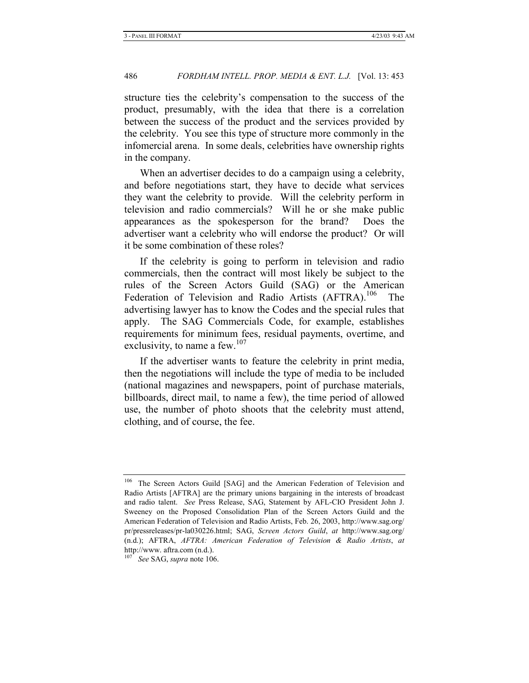structure ties the celebrity's compensation to the success of the product, presumably, with the idea that there is a correlation between the success of the product and the services provided by the celebrity. You see this type of structure more commonly in the infomercial arena. In some deals, celebrities have ownership rights in the company.

When an advertiser decides to do a campaign using a celebrity, and before negotiations start, they have to decide what services they want the celebrity to provide. Will the celebrity perform in television and radio commercials? Will he or she make public appearances as the spokesperson for the brand? Does the advertiser want a celebrity who will endorse the product? Or will it be some combination of these roles?

If the celebrity is going to perform in television and radio commercials, then the contract will most likely be subject to the rules of the Screen Actors Guild (SAG) or the American Federation of Television and Radio Artists (AFTRA).<sup>106</sup> The advertising lawyer has to know the Codes and the special rules that apply. The SAG Commercials Code, for example, establishes requirements for minimum fees, residual payments, overtime, and exclusivity, to name a few. $107$ 

If the advertiser wants to feature the celebrity in print media, then the negotiations will include the type of media to be included (national magazines and newspapers, point of purchase materials, billboards, direct mail, to name a few), the time period of allowed use, the number of photo shoots that the celebrity must attend, clothing, and of course, the fee.

<sup>&</sup>lt;sup>106</sup> The Screen Actors Guild [SAG] and the American Federation of Television and Radio Artists [AFTRA] are the primary unions bargaining in the interests of broadcast and radio talent. *See* Press Release, SAG, Statement by AFL-CIO President John J. Sweeney on the Proposed Consolidation Plan of the Screen Actors Guild and the American Federation of Television and Radio Artists, Feb. 26, 2003, http://www.sag.org/ pr/pressreleases/pr-la030226.html; SAG, *Screen Actors Guild*, *at* http://www.sag.org/ (n.d.); AFTRA, *AFTRA: American Federation of Television & Radio Artists*, *at*  http://www. aftra.com (n.d.).

<sup>107</sup> *See* SAG, *supra* note 106.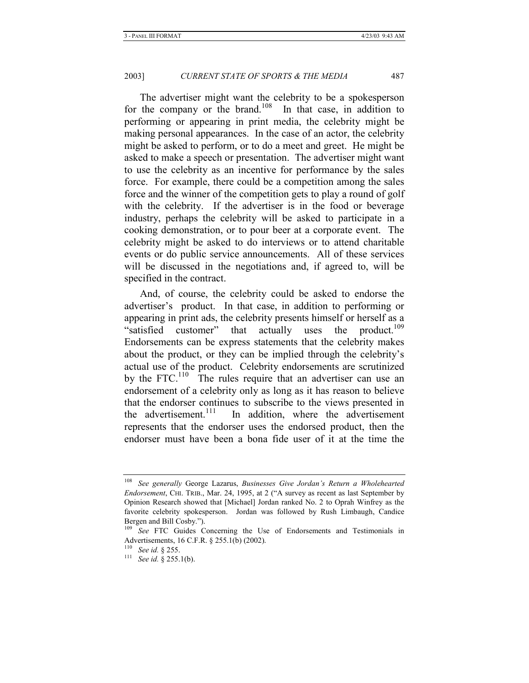The advertiser might want the celebrity to be a spokesperson for the company or the brand.<sup>108</sup> In that case, in addition to performing or appearing in print media, the celebrity might be making personal appearances. In the case of an actor, the celebrity might be asked to perform, or to do a meet and greet. He might be asked to make a speech or presentation. The advertiser might want to use the celebrity as an incentive for performance by the sales force. For example, there could be a competition among the sales force and the winner of the competition gets to play a round of golf with the celebrity. If the advertiser is in the food or beverage industry, perhaps the celebrity will be asked to participate in a cooking demonstration, or to pour beer at a corporate event. The celebrity might be asked to do interviews or to attend charitable events or do public service announcements. All of these services will be discussed in the negotiations and, if agreed to, will be specified in the contract.

And, of course, the celebrity could be asked to endorse the advertiser's product. In that case, in addition to performing or appearing in print ads, the celebrity presents himself or herself as a "satisfied customer" that actually uses the product.<sup>109</sup> Endorsements can be express statements that the celebrity makes about the product, or they can be implied through the celebrity's actual use of the product. Celebrity endorsements are scrutinized by the FTC.<sup>110</sup> The rules require that an advertiser can use an endorsement of a celebrity only as long as it has reason to believe that the endorser continues to subscribe to the views presented in the advertisement.<sup>111</sup> In addition, where the advertisement represents that the endorser uses the endorsed product, then the endorser must have been a bona fide user of it at the time the

<sup>108</sup> *See generally* George Lazarus, *Businesses Give Jordan's Return a Wholehearted Endorsement*, CHI. TRIB., Mar. 24, 1995, at 2 ("A survey as recent as last September by Opinion Research showed that [Michael] Jordan ranked No. 2 to Oprah Winfrey as the favorite celebrity spokesperson. Jordan was followed by Rush Limbaugh, Candice Bergen and Bill Cosby.").

<sup>&</sup>lt;sup>109</sup> See FTC Guides Concerning the Use of Endorsements and Testimonials in Advertisements, 16 C.F.R. § 255.1(b) (2002).<br><sup>110</sup> See id. § 255.

<sup>&</sup>lt;sup>111</sup> See id. § 255.1(b).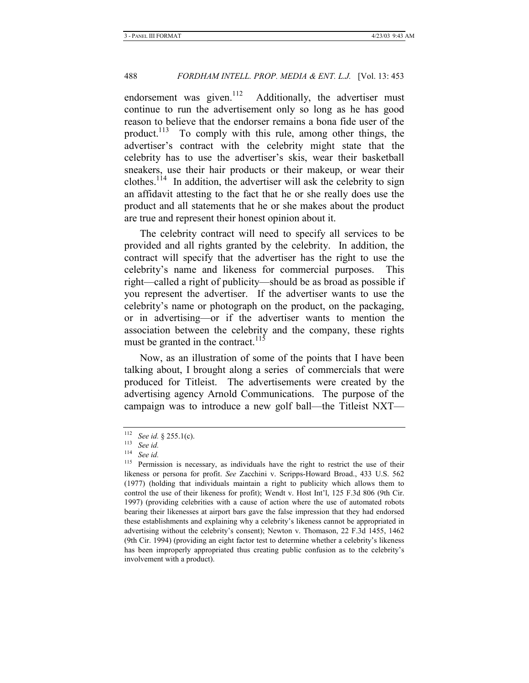endorsement was given.<sup>112</sup> Additionally, the advertiser must continue to run the advertisement only so long as he has good reason to believe that the endorser remains a bona fide user of the product.<sup>113</sup> To comply with this rule, among other things, the advertiser's contract with the celebrity might state that the celebrity has to use the advertiser's skis, wear their basketball sneakers, use their hair products or their makeup, or wear their clothes.<sup>114</sup> In addition, the advertiser will ask the celebrity to sign an affidavit attesting to the fact that he or she really does use the product and all statements that he or she makes about the product are true and represent their honest opinion about it.

The celebrity contract will need to specify all services to be provided and all rights granted by the celebrity. In addition, the contract will specify that the advertiser has the right to use the celebrity's name and likeness for commercial purposes. This right—called a right of publicity—should be as broad as possible if you represent the advertiser. If the advertiser wants to use the celebrity's name or photograph on the product, on the packaging, or in advertising—or if the advertiser wants to mention the association between the celebrity and the company, these rights must be granted in the contract. $115$ 

Now, as an illustration of some of the points that I have been talking about, I brought along a series of commercials that were produced for Titleist. The advertisements were created by the advertising agency Arnold Communications. The purpose of the campaign was to introduce a new golf ball—the Titleist NXT—

<sup>112</sup> *See id.* § 255.1(c). 113 *See id.*

See id.

<sup>&</sup>lt;sup>115</sup> Permission is necessary, as individuals have the right to restrict the use of their likeness or persona for profit. *See* Zacchini v. Scripps-Howard Broad., 433 U.S. 562 (1977) (holding that individuals maintain a right to publicity which allows them to control the use of their likeness for profit); Wendt v. Host Int'l, 125 F.3d 806 (9th Cir. 1997) (providing celebrities with a cause of action where the use of automated robots bearing their likenesses at airport bars gave the false impression that they had endorsed these establishments and explaining why a celebrity's likeness cannot be appropriated in advertising without the celebrity's consent); Newton v. Thomason, 22 F.3d 1455, 1462 (9th Cir. 1994) (providing an eight factor test to determine whether a celebrity's likeness has been improperly appropriated thus creating public confusion as to the celebrity's involvement with a product).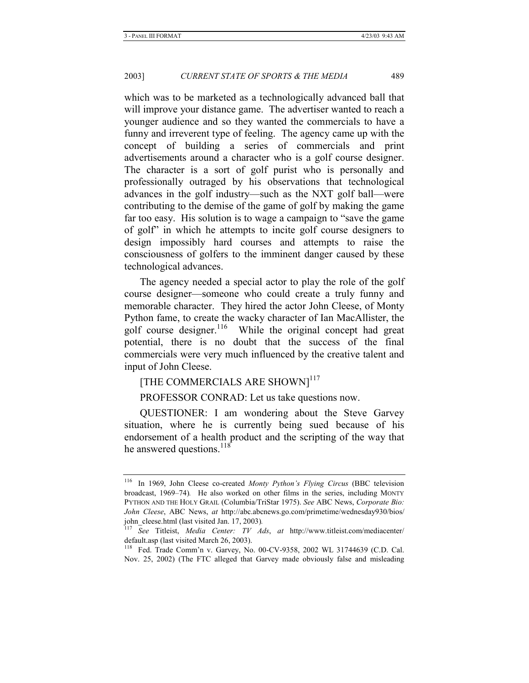which was to be marketed as a technologically advanced ball that will improve your distance game. The advertiser wanted to reach a younger audience and so they wanted the commercials to have a funny and irreverent type of feeling. The agency came up with the concept of building a series of commercials and print advertisements around a character who is a golf course designer. The character is a sort of golf purist who is personally and professionally outraged by his observations that technological advances in the golf industry—such as the NXT golf ball—were contributing to the demise of the game of golf by making the game far too easy. His solution is to wage a campaign to "save the game of golf" in which he attempts to incite golf course designers to design impossibly hard courses and attempts to raise the consciousness of golfers to the imminent danger caused by these technological advances.

The agency needed a special actor to play the role of the golf course designer—someone who could create a truly funny and memorable character. They hired the actor John Cleese, of Monty Python fame, to create the wacky character of Ian MacAllister, the golf course designer.<sup>116</sup> While the original concept had great potential, there is no doubt that the success of the final commercials were very much influenced by the creative talent and input of John Cleese.

### [THE COMMERCIALS ARE SHOWN]<sup>117</sup>

PROFESSOR CONRAD: Let us take questions now.

QUESTIONER: I am wondering about the Steve Garvey situation, where he is currently being sued because of his endorsement of a health product and the scripting of the way that he answered questions.<sup>118</sup>

<sup>116</sup> In 1969, John Cleese co-created *Monty Python's Flying Circus* (BBC television broadcast, 1969–74)*.* He also worked on other films in the series, including MONTY PYTHON AND THE HOLY GRAIL (Columbia/TriStar 1975). *See* ABC News, *Corporate Bio: John Cleese*, ABC News, *at* http://abc.abcnews.go.com/primetime/wednesday930/bios/ john\_cleese.html (last visited Jan. 17, 2003)*.*

<sup>117</sup> *See* Titleist, *Media Center: TV Ads*, *at* http://www.titleist.com/mediacenter/ default.asp (last visited March 26, 2003).

<sup>118</sup> Fed. Trade Comm'n v. Garvey, No. 00-CV-9358, 2002 WL 31744639 (C.D. Cal. Nov. 25, 2002) (The FTC alleged that Garvey made obviously false and misleading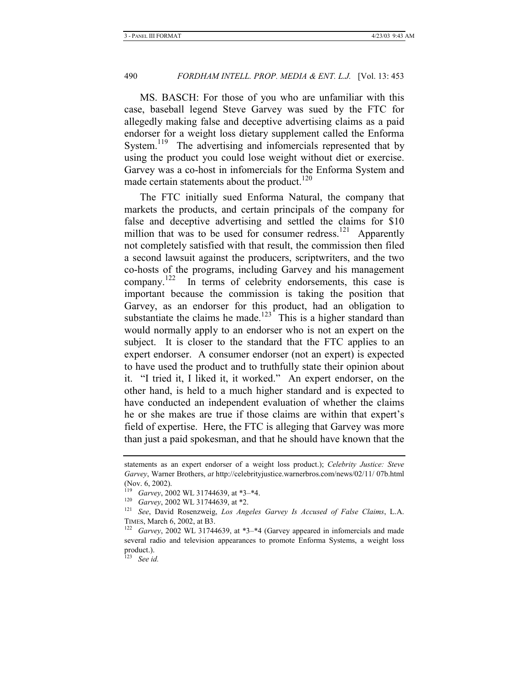MS. BASCH: For those of you who are unfamiliar with this case, baseball legend Steve Garvey was sued by the FTC for allegedly making false and deceptive advertising claims as a paid endorser for a weight loss dietary supplement called the Enforma System.<sup>119</sup> The advertising and infomercials represented that by using the product you could lose weight without diet or exercise. Garvey was a co-host in infomercials for the Enforma System and made certain statements about the product.<sup>120</sup>

The FTC initially sued Enforma Natural, the company that markets the products, and certain principals of the company for false and deceptive advertising and settled the claims for \$10 million that was to be used for consumer redress.<sup>121</sup> Apparently not completely satisfied with that result, the commission then filed a second lawsuit against the producers, scriptwriters, and the two co-hosts of the programs, including Garvey and his management company.<sup>122</sup> In terms of celebrity endorsements, this case is important because the commission is taking the position that Garvey, as an endorser for this product, had an obligation to substantiate the claims he made.<sup>123</sup> This is a higher standard than would normally apply to an endorser who is not an expert on the subject. It is closer to the standard that the FTC applies to an expert endorser. A consumer endorser (not an expert) is expected to have used the product and to truthfully state their opinion about it. "I tried it, I liked it, it worked." An expert endorser, on the other hand, is held to a much higher standard and is expected to have conducted an independent evaluation of whether the claims he or she makes are true if those claims are within that expert's field of expertise. Here, the FTC is alleging that Garvey was more than just a paid spokesman, and that he should have known that the

See id.

statements as an expert endorser of a weight loss product.); *Celebrity Justice: Steve Garvey*, Warner Brothers, *at* http://celebrityjustice.warnerbros.com/news/02/11/ 07b.html (Nov. 6, 2002).

<sup>119</sup> *Garvey*, 2002 WL 31744639, at \*3–\*4. 120 *Garvey*, 2002 WL 31744639, at \*2. 121 *See*, David Rosenzweig, *Los Angeles Garvey Is Accused of False Claims*, L.A.

TIMES, March 6, 2002, at B3. 122 *Garvey*, 2002 WL 31744639, at \*3–\*4 (Garvey appeared in infomercials and made several radio and television appearances to promote Enforma Systems, a weight loss product.).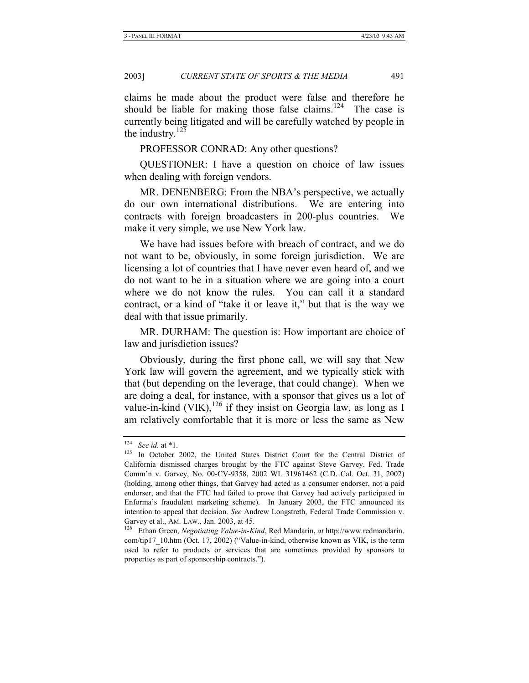claims he made about the product were false and therefore he should be liable for making those false claims.<sup>124</sup> The case is currently being litigated and will be carefully watched by people in the industry. $125$ 

PROFESSOR CONRAD: Any other questions?

QUESTIONER: I have a question on choice of law issues when dealing with foreign vendors.

MR. DENENBERG: From the NBA's perspective, we actually do our own international distributions. We are entering into contracts with foreign broadcasters in 200-plus countries. We make it very simple, we use New York law.

We have had issues before with breach of contract, and we do not want to be, obviously, in some foreign jurisdiction. We are licensing a lot of countries that I have never even heard of, and we do not want to be in a situation where we are going into a court where we do not know the rules. You can call it a standard contract, or a kind of "take it or leave it," but that is the way we deal with that issue primarily.

MR. DURHAM: The question is: How important are choice of law and jurisdiction issues?

Obviously, during the first phone call, we will say that New York law will govern the agreement, and we typically stick with that (but depending on the leverage, that could change). When we are doing a deal, for instance, with a sponsor that gives us a lot of value-in-kind (VIK),  $^{126}$  if they insist on Georgia law, as long as I am relatively comfortable that it is more or less the same as New

<sup>&</sup>lt;sup>124</sup> See id. at \*1.<br><sup>125</sup> In October 2002, the United States District Court for the Central District of California dismissed charges brought by the FTC against Steve Garvey. Fed. Trade Comm'n v. Garvey, No. 00-CV-9358, 2002 WL 31961462 (C.D. Cal. Oct. 31, 2002) (holding, among other things, that Garvey had acted as a consumer endorser, not a paid endorser, and that the FTC had failed to prove that Garvey had actively participated in Enforma's fraudulent marketing scheme). In January 2003, the FTC announced its intention to appeal that decision. *See* Andrew Longstreth, Federal Trade Commission v.

Garvey et al., Am. LAW., Jan. 2003, at 45.<br><sup>126</sup> Ethan Green, *Negotiating Value-in-Kind*, Red Mandarin, *at* http://www.redmandarin. com/tip17\_10.htm (Oct. 17, 2002) ("Value-in-kind, otherwise known as VIK, is the term used to refer to products or services that are sometimes provided by sponsors to properties as part of sponsorship contracts.").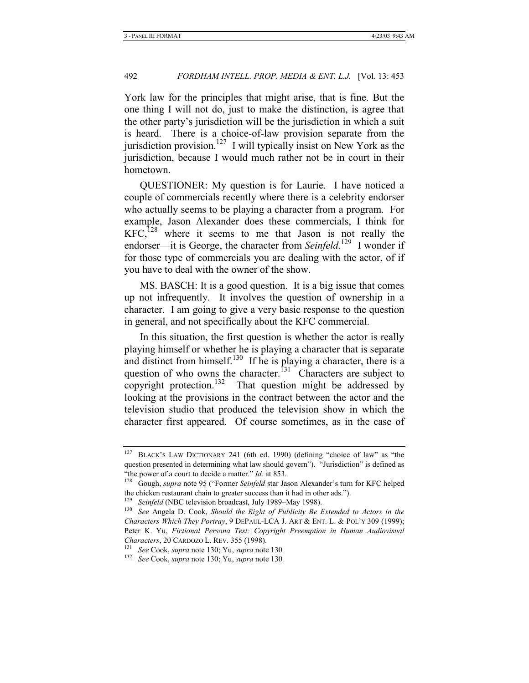York law for the principles that might arise, that is fine. But the one thing I will not do, just to make the distinction, is agree that the other party's jurisdiction will be the jurisdiction in which a suit is heard. There is a choice-of-law provision separate from the jurisdiction provision.<sup>127</sup> I will typically insist on New York as the jurisdiction, because I would much rather not be in court in their hometown.

QUESTIONER: My question is for Laurie. I have noticed a couple of commercials recently where there is a celebrity endorser who actually seems to be playing a character from a program. For example, Jason Alexander does these commercials, I think for  $KFC<sub>128</sub>$  where it seems to me that Jason is not really the endorser—it is George, the character from *Seinfeld*.<sup>129</sup> I wonder if for those type of commercials you are dealing with the actor, of if you have to deal with the owner of the show.

MS. BASCH: It is a good question. It is a big issue that comes up not infrequently. It involves the question of ownership in a character. I am going to give a very basic response to the question in general, and not specifically about the KFC commercial.

In this situation, the first question is whether the actor is really playing himself or whether he is playing a character that is separate and distinct from himself.<sup>130</sup> If he is playing a character, there is a question of who owns the character.<sup> $131$ </sup> Characters are subject to copyright protection.<sup>132</sup> That question might be addressed by looking at the provisions in the contract between the actor and the television studio that produced the television show in which the character first appeared. Of course sometimes, as in the case of

<sup>&</sup>lt;sup>127</sup> BLACK'S LAW DICTIONARY 241 (6th ed. 1990) (defining "choice of law" as "the question presented in determining what law should govern"). "Jurisdiction" is defined as

<sup>&</sup>quot;the power of a court to decide a matter." *Id.* at 853.<br><sup>128</sup> Gough, *supra* note 95 ("Former *Seinfeld* star Jason Alexander's turn for KFC helped the chicken restaurant chain to greater success than it had in other ads.").

<sup>129</sup> *Seinfeld* (NBC television broadcast, July 1989–May 1998). 130 *See* Angela D. Cook, *Should the Right of Publicity Be Extended to Actors in the Characters Which They Portray*, 9 DEPAUL-LCA J. ART & ENT. L. & POL'Y 309 (1999); Peter K. Yu, *Fictional Persona Test: Copyright Preemption in Human Audiovisual Characters*, 20 CARDOZO L. REV. 355 (1998). 131 *See* Cook, *supra* note 130; Yu, *supra* note 130*.*

<sup>132</sup> *See* Cook, *supra* note 130; Yu, *supra* note 130*.*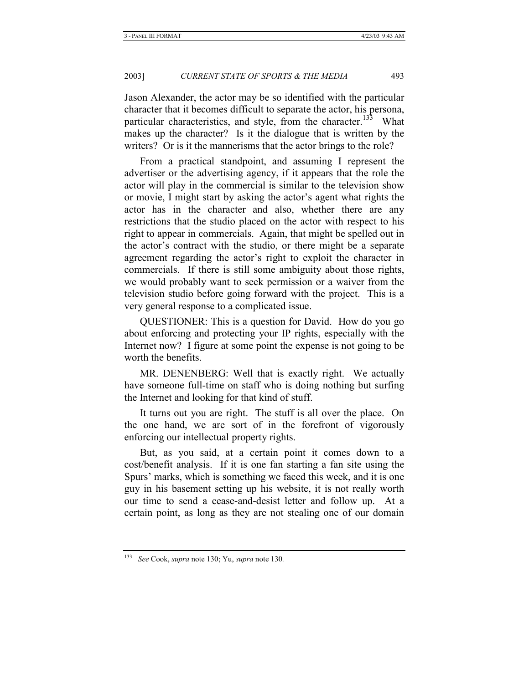Jason Alexander, the actor may be so identified with the particular character that it becomes difficult to separate the actor, his persona, particular characteristics, and style, from the character.<sup>133</sup> What makes up the character? Is it the dialogue that is written by the writers? Or is it the mannerisms that the actor brings to the role?

From a practical standpoint, and assuming I represent the advertiser or the advertising agency, if it appears that the role the actor will play in the commercial is similar to the television show or movie, I might start by asking the actor's agent what rights the actor has in the character and also, whether there are any restrictions that the studio placed on the actor with respect to his right to appear in commercials. Again, that might be spelled out in the actor's contract with the studio, or there might be a separate agreement regarding the actor's right to exploit the character in commercials. If there is still some ambiguity about those rights, we would probably want to seek permission or a waiver from the television studio before going forward with the project. This is a very general response to a complicated issue.

QUESTIONER: This is a question for David. How do you go about enforcing and protecting your IP rights, especially with the Internet now? I figure at some point the expense is not going to be worth the benefits.

MR. DENENBERG: Well that is exactly right. We actually have someone full-time on staff who is doing nothing but surfing the Internet and looking for that kind of stuff.

It turns out you are right. The stuff is all over the place. On the one hand, we are sort of in the forefront of vigorously enforcing our intellectual property rights.

But, as you said, at a certain point it comes down to a cost/benefit analysis. If it is one fan starting a fan site using the Spurs' marks, which is something we faced this week, and it is one guy in his basement setting up his website, it is not really worth our time to send a cease-and-desist letter and follow up. At a certain point, as long as they are not stealing one of our domain

<sup>133</sup> *See* Cook, *supra* note 130; Yu, *supra* note 130*.*